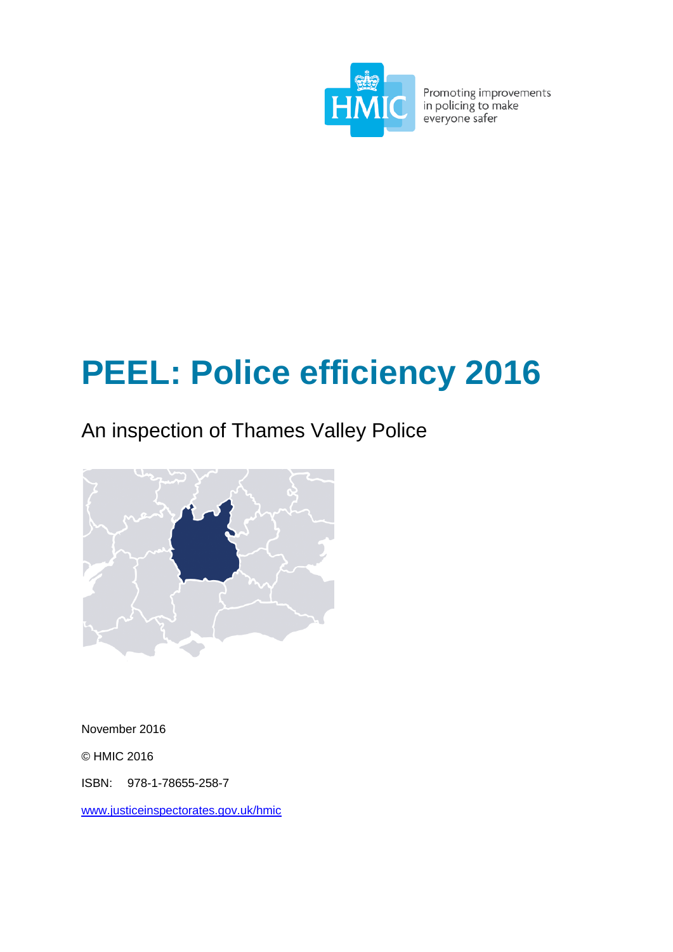

Promoting improvements<br>in policing to make<br>everyone safer

# **PEEL: Police efficiency 2016**

# An inspection of Thames Valley Police



November 2016

© HMIC 2016

ISBN: 978-1-78655-258-7

[www.justiceinspectorates.gov.uk/hmic](http://www.justiceinspectorates.gov.uk/hmic)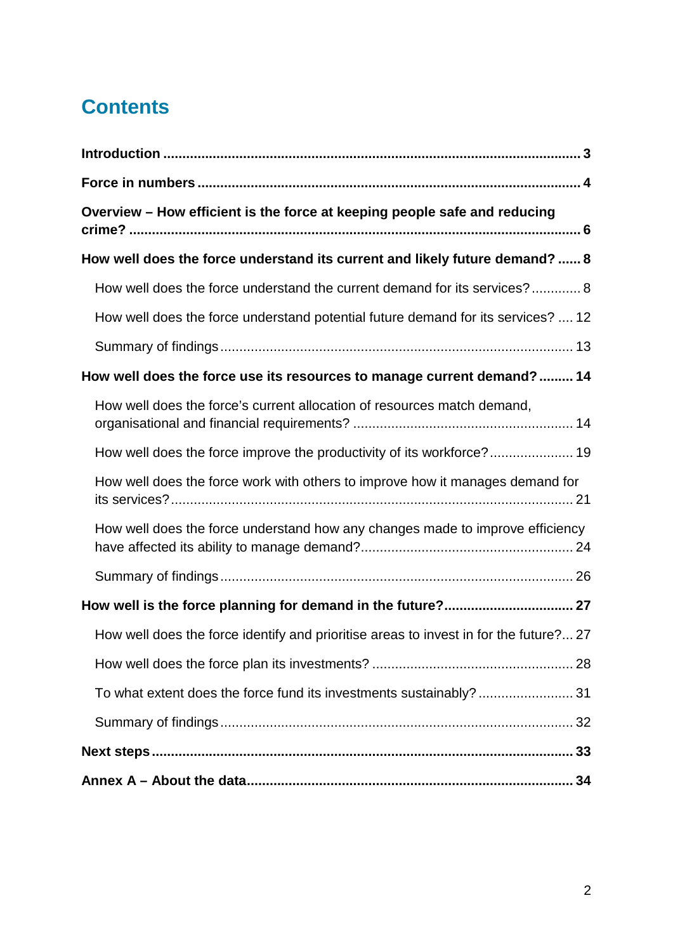# **Contents**

| Overview - How efficient is the force at keeping people safe and reducing             |
|---------------------------------------------------------------------------------------|
| How well does the force understand its current and likely future demand?  8           |
| How well does the force understand the current demand for its services? 8             |
| How well does the force understand potential future demand for its services?  12      |
|                                                                                       |
| How well does the force use its resources to manage current demand? 14                |
| How well does the force's current allocation of resources match demand,               |
| How well does the force improve the productivity of its workforce? 19                 |
| How well does the force work with others to improve how it manages demand for         |
| How well does the force understand how any changes made to improve efficiency         |
|                                                                                       |
| How well is the force planning for demand in the future? 27                           |
| How well does the force identify and prioritise areas to invest in for the future? 27 |
|                                                                                       |
| To what extent does the force fund its investments sustainably?31                     |
|                                                                                       |
|                                                                                       |
|                                                                                       |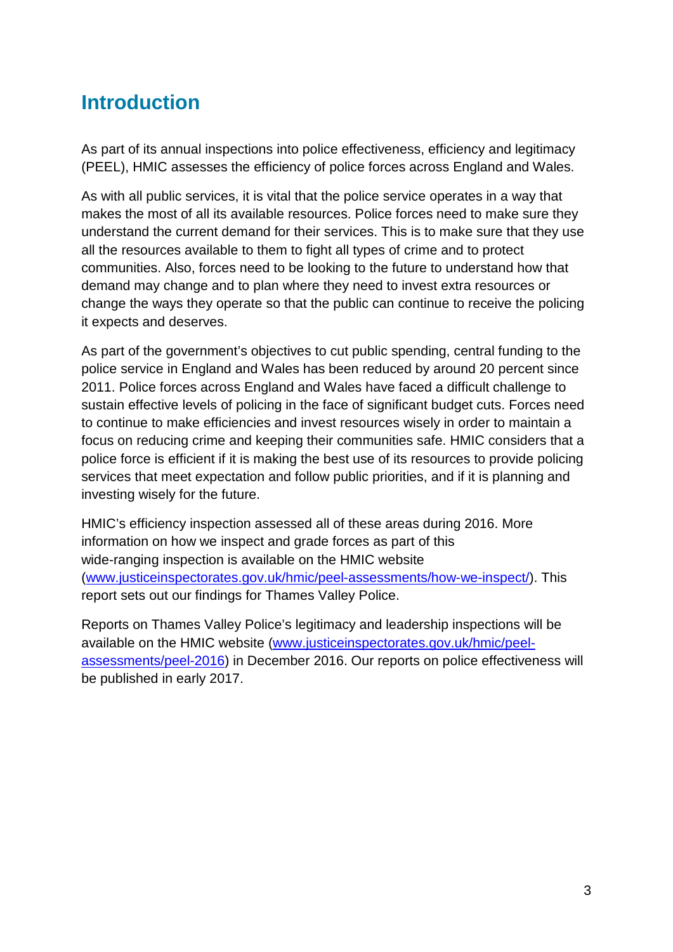# <span id="page-2-0"></span>**Introduction**

As part of its annual inspections into police effectiveness, efficiency and legitimacy (PEEL), HMIC assesses the efficiency of police forces across England and Wales.

As with all public services, it is vital that the police service operates in a way that makes the most of all its available resources. Police forces need to make sure they understand the current demand for their services. This is to make sure that they use all the resources available to them to fight all types of crime and to protect communities. Also, forces need to be looking to the future to understand how that demand may change and to plan where they need to invest extra resources or change the ways they operate so that the public can continue to receive the policing it expects and deserves.

As part of the government's objectives to cut public spending, central funding to the police service in England and Wales has been reduced by around 20 percent since 2011. Police forces across England and Wales have faced a difficult challenge to sustain effective levels of policing in the face of significant budget cuts. Forces need to continue to make efficiencies and invest resources wisely in order to maintain a focus on reducing crime and keeping their communities safe. HMIC considers that a police force is efficient if it is making the best use of its resources to provide policing services that meet expectation and follow public priorities, and if it is planning and investing wisely for the future.

HMIC's efficiency inspection assessed all of these areas during 2016. More information on how we inspect and grade forces as part of this wide-ranging inspection is available on the HMIC website [\(www.justiceinspectorates.gov.uk/hmic/peel-assessments/how-we-inspect/\)](http://www.justiceinspectorates.gov.uk/hmic/peel-assessments/how-we-inspect/). This report sets out our findings for Thames Valley Police.

Reports on Thames Valley Police's legitimacy and leadership inspections will be available on the HMIC website [\(www.justiceinspectorates.gov.uk/hmic/peel](http://www.justiceinspectorates.gov.uk/hmic/peel-assessments/peel-2016)[assessments/peel-2016\)](http://www.justiceinspectorates.gov.uk/hmic/peel-assessments/peel-2016) in December 2016. Our reports on police effectiveness will be published in early 2017.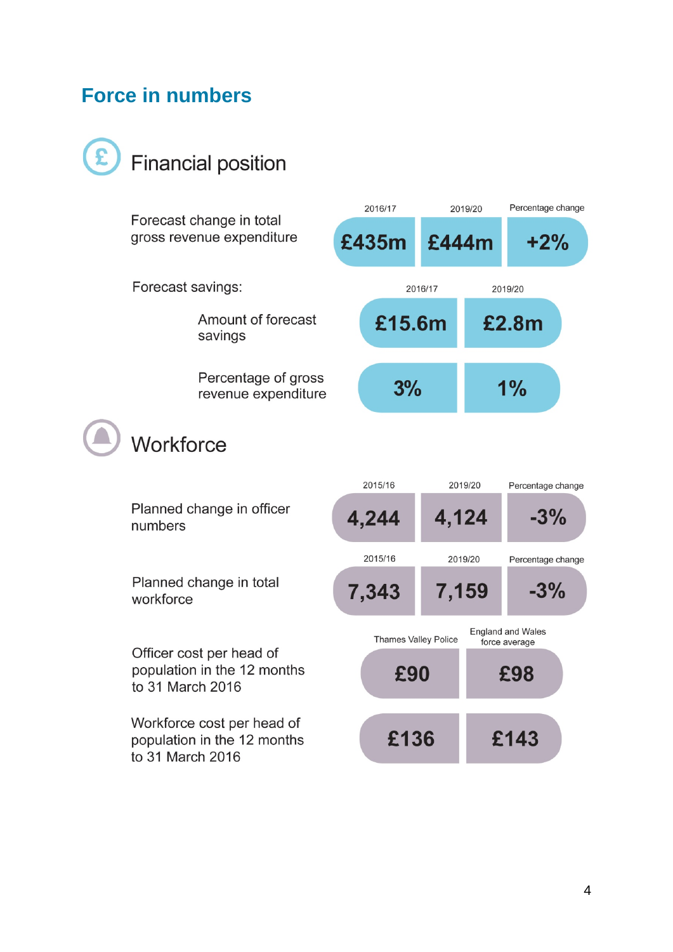## <span id="page-3-0"></span>**Force in numbers**



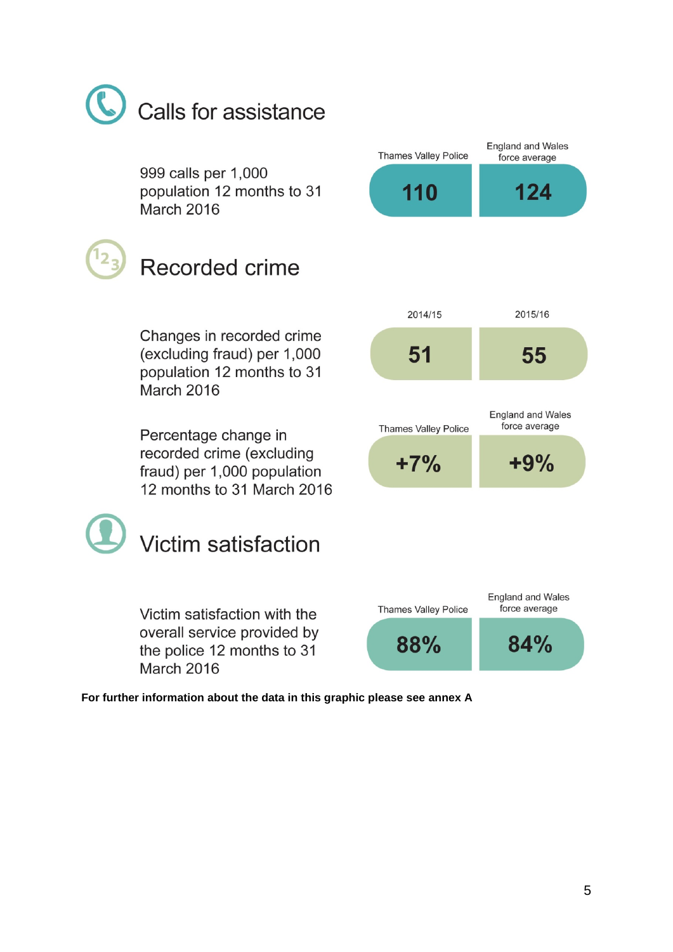# Calls for assistance

999 calls per 1,000 population 12 months to 31 **March 2016** 

Recorded crime

force average 124 110 2014/15 2015/16 51 55 **England and Wales** force average **Thames Valley Police** 

**Thames Valley Police** 

 $+7%$ 

**England and Wales** 

 $+9%$ 

Changes in recorded crime (excluding fraud) per 1,000 population 12 months to 31 March 2016

Percentage change in recorded crime (excluding fraud) per 1,000 population 12 months to 31 March 2016



Victim satisfaction with the overall service provided by the police 12 months to 31 March 2016

**England and Wales Thames Valley Police** force average 88% 84%

**For further information about the data in this graphic please see annex A**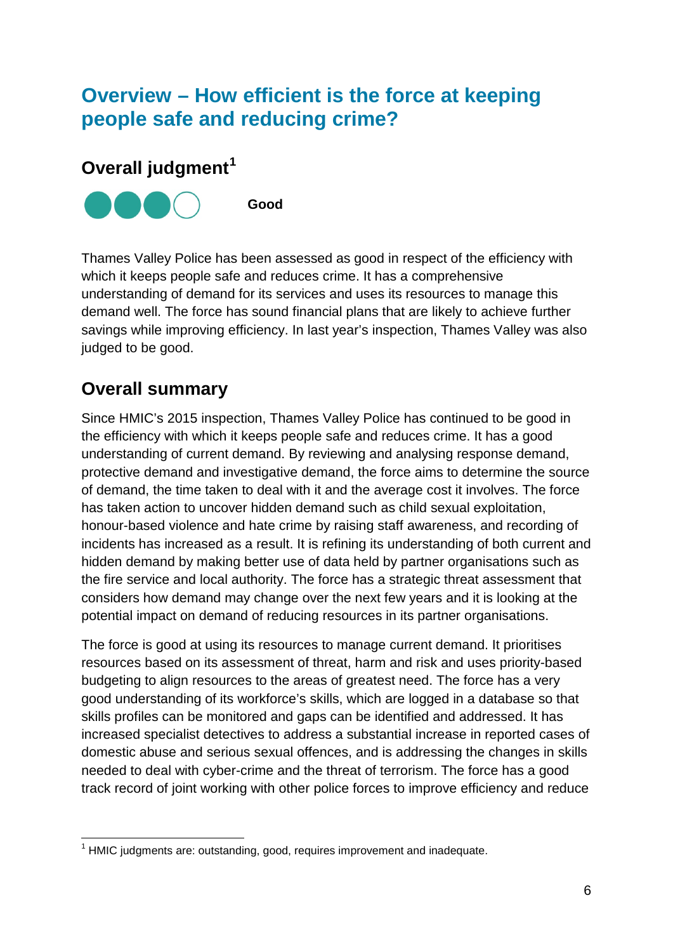# <span id="page-5-0"></span>**Overview – How efficient is the force at keeping people safe and reducing crime?**

### **Overall judgment[1](#page-5-1)**



Thames Valley Police has been assessed as good in respect of the efficiency with which it keeps people safe and reduces crime. It has a comprehensive understanding of demand for its services and uses its resources to manage this demand well. The force has sound financial plans that are likely to achieve further savings while improving efficiency. In last year's inspection, Thames Valley was also judged to be good.

## **Overall summary**

Since HMIC's 2015 inspection, Thames Valley Police has continued to be good in the efficiency with which it keeps people safe and reduces crime. It has a good understanding of current demand. By reviewing and analysing response demand, protective demand and investigative demand, the force aims to determine the source of demand, the time taken to deal with it and the average cost it involves. The force has taken action to uncover hidden demand such as child sexual exploitation, honour-based violence and hate crime by raising staff awareness, and recording of incidents has increased as a result. It is refining its understanding of both current and hidden demand by making better use of data held by partner organisations such as the fire service and local authority. The force has a strategic threat assessment that considers how demand may change over the next few years and it is looking at the potential impact on demand of reducing resources in its partner organisations.

The force is good at using its resources to manage current demand. It prioritises resources based on its assessment of threat, harm and risk and uses priority-based budgeting to align resources to the areas of greatest need. The force has a very good understanding of its workforce's skills, which are logged in a database so that skills profiles can be monitored and gaps can be identified and addressed. It has increased specialist detectives to address a substantial increase in reported cases of domestic abuse and serious sexual offences, and is addressing the changes in skills needed to deal with cyber-crime and the threat of terrorism. The force has a good track record of joint working with other police forces to improve efficiency and reduce

<span id="page-5-1"></span> $1$  HMIC iudgments are: outstanding, good, requires improvement and inadequate.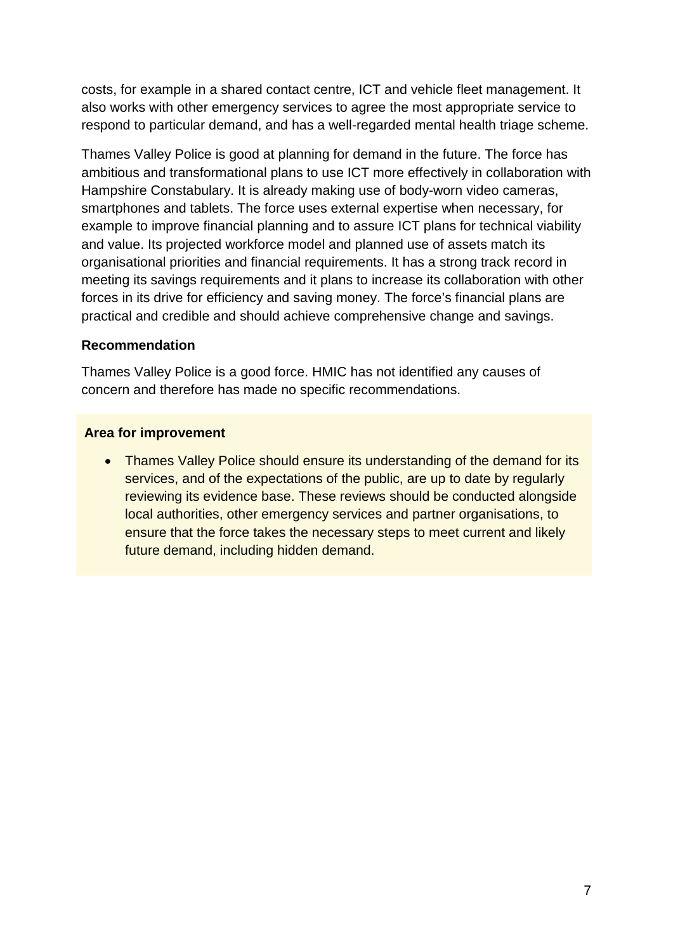costs, for example in a shared contact centre, ICT and vehicle fleet management. It also works with other emergency services to agree the most appropriate service to respond to particular demand, and has a well-regarded mental health triage scheme.

Thames Valley Police is good at planning for demand in the future. The force has ambitious and transformational plans to use ICT more effectively in collaboration with Hampshire Constabulary. It is already making use of body-worn video cameras, smartphones and tablets. The force uses external expertise when necessary, for example to improve financial planning and to assure ICT plans for technical viability and value. Its projected workforce model and planned use of assets match its organisational priorities and financial requirements. It has a strong track record in meeting its savings requirements and it plans to increase its collaboration with other forces in its drive for efficiency and saving money. The force's financial plans are practical and credible and should achieve comprehensive change and savings.

#### **Recommendation**

Thames Valley Police is a good force. HMIC has not identified any causes of concern and therefore has made no specific recommendations.

#### **Area for improvement**

• Thames Valley Police should ensure its understanding of the demand for its services, and of the expectations of the public, are up to date by regularly reviewing its evidence base. These reviews should be conducted alongside local authorities, other emergency services and partner organisations, to ensure that the force takes the necessary steps to meet current and likely future demand, including hidden demand.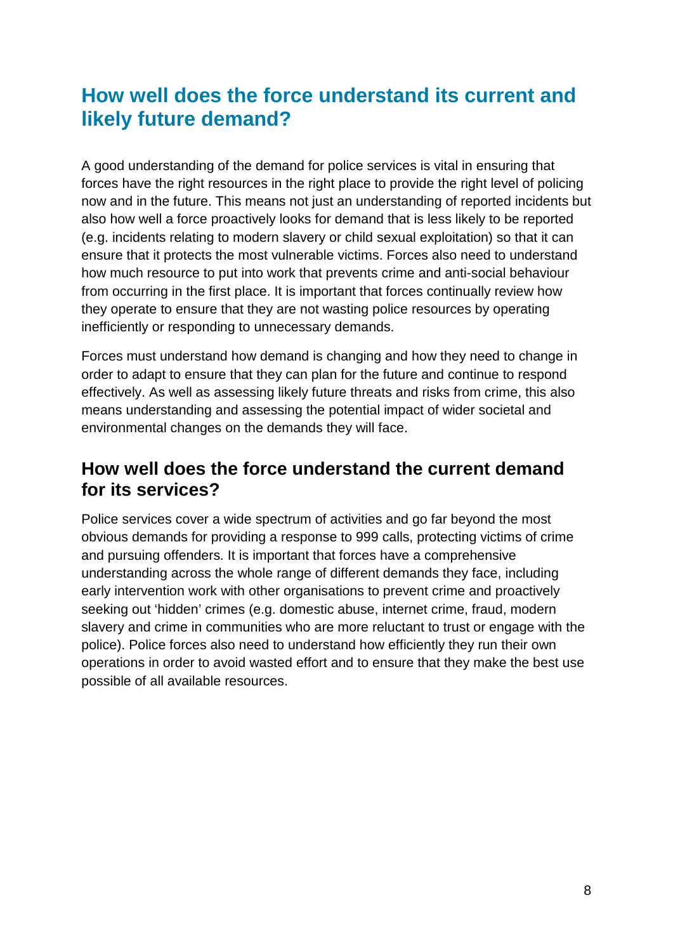# <span id="page-7-0"></span>**How well does the force understand its current and likely future demand?**

A good understanding of the demand for police services is vital in ensuring that forces have the right resources in the right place to provide the right level of policing now and in the future. This means not just an understanding of reported incidents but also how well a force proactively looks for demand that is less likely to be reported (e.g. incidents relating to modern slavery or child sexual exploitation) so that it can ensure that it protects the most vulnerable victims. Forces also need to understand how much resource to put into work that prevents crime and anti-social behaviour from occurring in the first place. It is important that forces continually review how they operate to ensure that they are not wasting police resources by operating inefficiently or responding to unnecessary demands.

Forces must understand how demand is changing and how they need to change in order to adapt to ensure that they can plan for the future and continue to respond effectively. As well as assessing likely future threats and risks from crime, this also means understanding and assessing the potential impact of wider societal and environmental changes on the demands they will face.

## <span id="page-7-1"></span>**How well does the force understand the current demand for its services?**

Police services cover a wide spectrum of activities and go far beyond the most obvious demands for providing a response to 999 calls, protecting victims of crime and pursuing offenders. It is important that forces have a comprehensive understanding across the whole range of different demands they face, including early intervention work with other organisations to prevent crime and proactively seeking out 'hidden' crimes (e.g. domestic abuse, internet crime, fraud, modern slavery and crime in communities who are more reluctant to trust or engage with the police). Police forces also need to understand how efficiently they run their own operations in order to avoid wasted effort and to ensure that they make the best use possible of all available resources.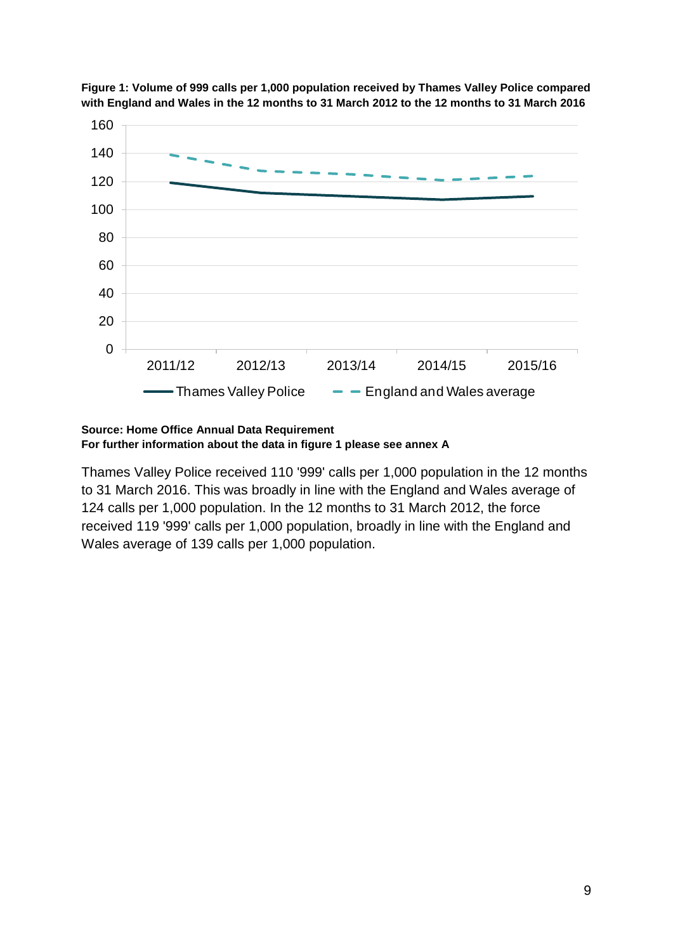

**Figure 1: Volume of 999 calls per 1,000 population received by Thames Valley Police compared with England and Wales in the 12 months to 31 March 2012 to the 12 months to 31 March 2016**

#### **Source: Home Office Annual Data Requirement For further information about the data in figure 1 please see annex A**

Thames Valley Police received 110 '999' calls per 1,000 population in the 12 months to 31 March 2016. This was broadly in line with the England and Wales average of 124 calls per 1,000 population. In the 12 months to 31 March 2012, the force received 119 '999' calls per 1,000 population, broadly in line with the England and Wales average of 139 calls per 1,000 population.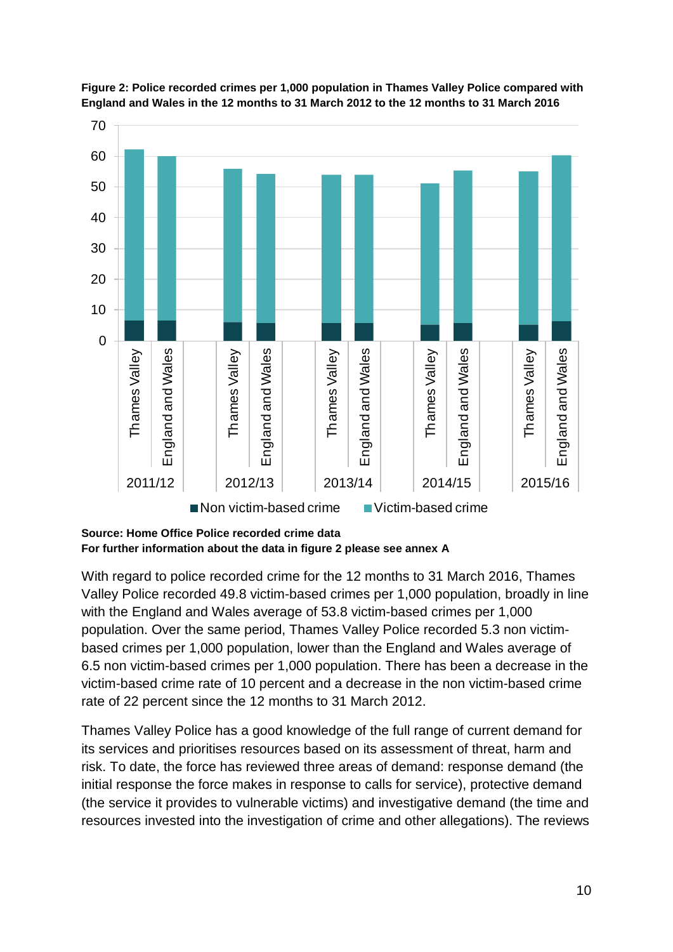



With regard to police recorded crime for the 12 months to 31 March 2016, Thames Valley Police recorded 49.8 victim-based crimes per 1,000 population, broadly in line with the England and Wales average of 53.8 victim-based crimes per 1,000 population. Over the same period, Thames Valley Police recorded 5.3 non victimbased crimes per 1,000 population, lower than the England and Wales average of 6.5 non victim-based crimes per 1,000 population. There has been a decrease in the victim-based crime rate of 10 percent and a decrease in the non victim-based crime rate of 22 percent since the 12 months to 31 March 2012.

Thames Valley Police has a good knowledge of the full range of current demand for its services and prioritises resources based on its assessment of threat, harm and risk. To date, the force has reviewed three areas of demand: response demand (the initial response the force makes in response to calls for service), protective demand (the service it provides to vulnerable victims) and investigative demand (the time and resources invested into the investigation of crime and other allegations). The reviews

**Source: Home Office Police recorded crime data For further information about the data in figure 2 please see annex A**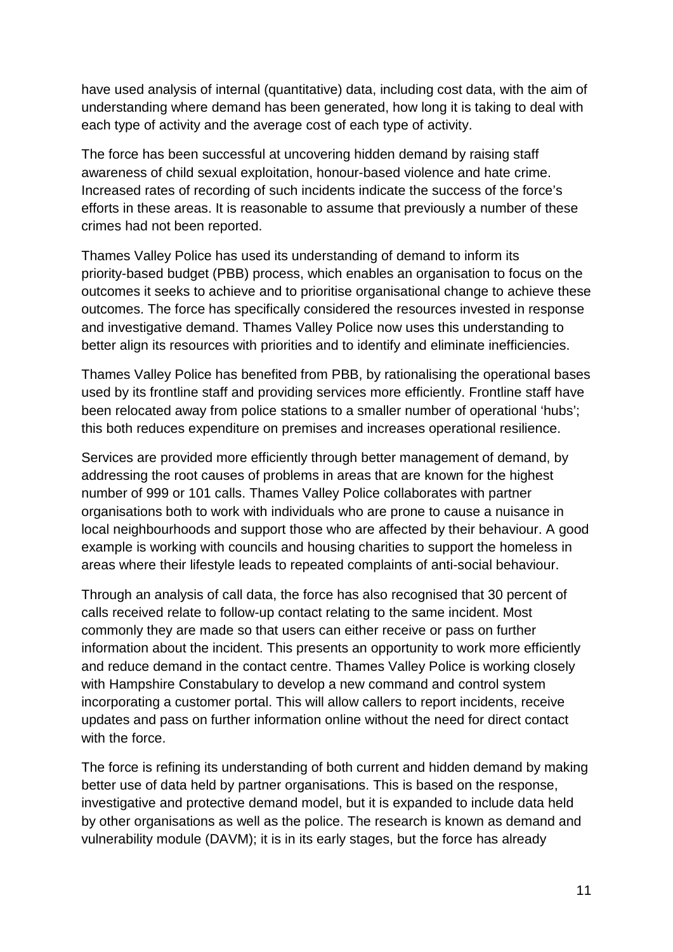have used analysis of internal (quantitative) data, including cost data, with the aim of understanding where demand has been generated, how long it is taking to deal with each type of activity and the average cost of each type of activity.

The force has been successful at uncovering hidden demand by raising staff awareness of child sexual exploitation, honour-based violence and hate crime. Increased rates of recording of such incidents indicate the success of the force's efforts in these areas. It is reasonable to assume that previously a number of these crimes had not been reported.

Thames Valley Police has used its understanding of demand to inform its priority-based budget (PBB) process, which enables an organisation to focus on the outcomes it seeks to achieve and to prioritise organisational change to achieve these outcomes. The force has specifically considered the resources invested in response and investigative demand. Thames Valley Police now uses this understanding to better align its resources with priorities and to identify and eliminate inefficiencies.

Thames Valley Police has benefited from PBB, by rationalising the operational bases used by its frontline staff and providing services more efficiently. Frontline staff have been relocated away from police stations to a smaller number of operational 'hubs'; this both reduces expenditure on premises and increases operational resilience.

Services are provided more efficiently through better management of demand, by addressing the root causes of problems in areas that are known for the highest number of 999 or 101 calls. Thames Valley Police collaborates with partner organisations both to work with individuals who are prone to cause a nuisance in local neighbourhoods and support those who are affected by their behaviour. A good example is working with councils and housing charities to support the homeless in areas where their lifestyle leads to repeated complaints of anti-social behaviour.

Through an analysis of call data, the force has also recognised that 30 percent of calls received relate to follow-up contact relating to the same incident. Most commonly they are made so that users can either receive or pass on further information about the incident. This presents an opportunity to work more efficiently and reduce demand in the contact centre. Thames Valley Police is working closely with Hampshire Constabulary to develop a new command and control system incorporating a customer portal. This will allow callers to report incidents, receive updates and pass on further information online without the need for direct contact with the force.

The force is refining its understanding of both current and hidden demand by making better use of data held by partner organisations. This is based on the response, investigative and protective demand model, but it is expanded to include data held by other organisations as well as the police. The research is known as demand and vulnerability module (DAVM); it is in its early stages, but the force has already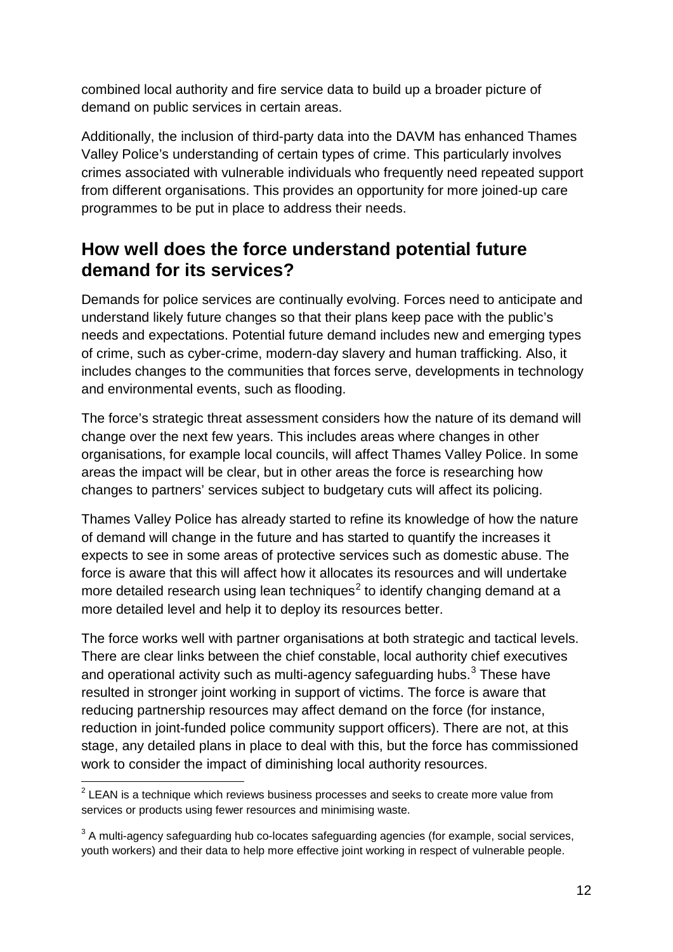combined local authority and fire service data to build up a broader picture of demand on public services in certain areas.

Additionally, the inclusion of third-party data into the DAVM has enhanced Thames Valley Police's understanding of certain types of crime. This particularly involves crimes associated with vulnerable individuals who frequently need repeated support from different organisations. This provides an opportunity for more joined-up care programmes to be put in place to address their needs.

## <span id="page-11-0"></span>**How well does the force understand potential future demand for its services?**

Demands for police services are continually evolving. Forces need to anticipate and understand likely future changes so that their plans keep pace with the public's needs and expectations. Potential future demand includes new and emerging types of crime, such as cyber-crime, modern-day slavery and human trafficking. Also, it includes changes to the communities that forces serve, developments in technology and environmental events, such as flooding.

The force's strategic threat assessment considers how the nature of its demand will change over the next few years. This includes areas where changes in other organisations, for example local councils, will affect Thames Valley Police. In some areas the impact will be clear, but in other areas the force is researching how changes to partners' services subject to budgetary cuts will affect its policing.

Thames Valley Police has already started to refine its knowledge of how the nature of demand will change in the future and has started to quantify the increases it expects to see in some areas of protective services such as domestic abuse. The force is aware that this will affect how it allocates its resources and will undertake more detailed research using lean techniques<sup>[2](#page-11-1)</sup> to identify changing demand at a more detailed level and help it to deploy its resources better.

The force works well with partner organisations at both strategic and tactical levels. There are clear links between the chief constable, local authority chief executives and operational activity such as multi-agency safeguarding hubs. $3$  These have resulted in stronger joint working in support of victims. The force is aware that reducing partnership resources may affect demand on the force (for instance, reduction in joint-funded police community support officers). There are not, at this stage, any detailed plans in place to deal with this, but the force has commissioned work to consider the impact of diminishing local authority resources.

<span id="page-11-1"></span> $2$  LEAN is a technique which reviews business processes and seeks to create more value from services or products using fewer resources and minimising waste.

<span id="page-11-2"></span> $3$  A multi-agency safeguarding hub co-locates safeguarding agencies (for example, social services, youth workers) and their data to help more effective joint working in respect of vulnerable people.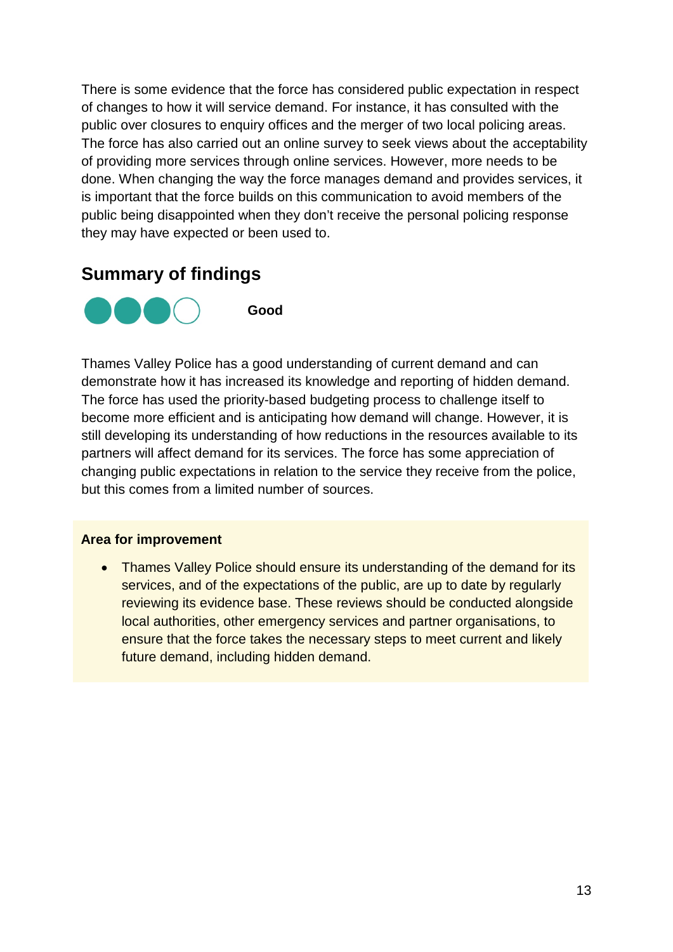There is some evidence that the force has considered public expectation in respect of changes to how it will service demand. For instance, it has consulted with the public over closures to enquiry offices and the merger of two local policing areas. The force has also carried out an online survey to seek views about the acceptability of providing more services through online services. However, more needs to be done. When changing the way the force manages demand and provides services, it is important that the force builds on this communication to avoid members of the public being disappointed when they don't receive the personal policing response they may have expected or been used to.

## <span id="page-12-0"></span>**Summary of findings**



**Good** 

Thames Valley Police has a good understanding of current demand and can demonstrate how it has increased its knowledge and reporting of hidden demand. The force has used the priority-based budgeting process to challenge itself to become more efficient and is anticipating how demand will change. However, it is still developing its understanding of how reductions in the resources available to its partners will affect demand for its services. The force has some appreciation of changing public expectations in relation to the service they receive from the police, but this comes from a limited number of sources.

#### **Area for improvement**

• Thames Valley Police should ensure its understanding of the demand for its services, and of the expectations of the public, are up to date by regularly reviewing its evidence base. These reviews should be conducted alongside local authorities, other emergency services and partner organisations, to ensure that the force takes the necessary steps to meet current and likely future demand, including hidden demand.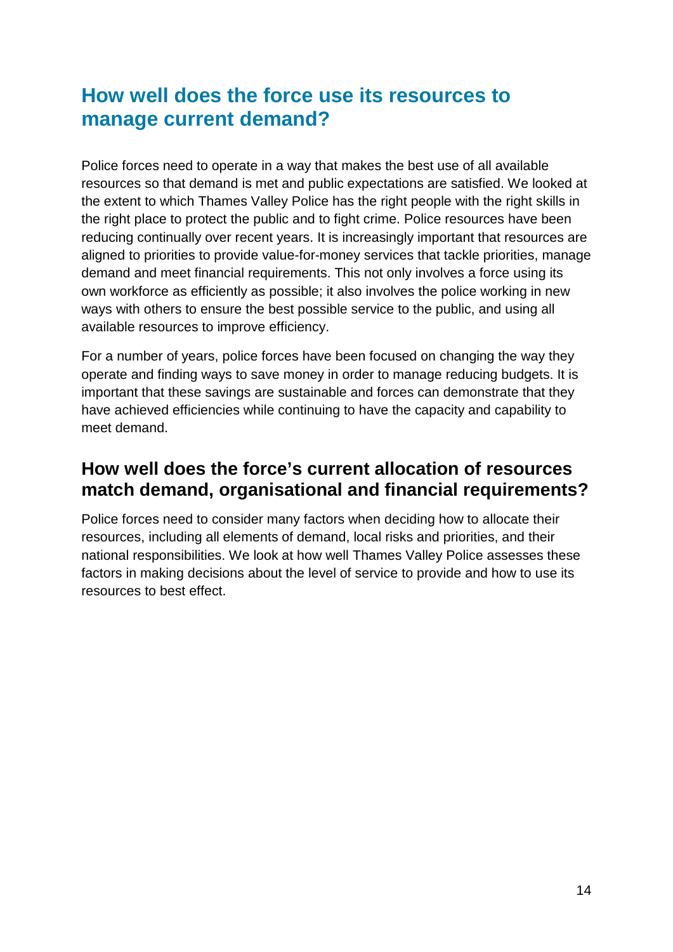## <span id="page-13-0"></span>**How well does the force use its resources to manage current demand?**

Police forces need to operate in a way that makes the best use of all available resources so that demand is met and public expectations are satisfied. We looked at the extent to which Thames Valley Police has the right people with the right skills in the right place to protect the public and to fight crime. Police resources have been reducing continually over recent years. It is increasingly important that resources are aligned to priorities to provide value-for-money services that tackle priorities, manage demand and meet financial requirements. This not only involves a force using its own workforce as efficiently as possible; it also involves the police working in new ways with others to ensure the best possible service to the public, and using all available resources to improve efficiency.

For a number of years, police forces have been focused on changing the way they operate and finding ways to save money in order to manage reducing budgets. It is important that these savings are sustainable and forces can demonstrate that they have achieved efficiencies while continuing to have the capacity and capability to meet demand.

## <span id="page-13-1"></span>**How well does the force's current allocation of resources match demand, organisational and financial requirements?**

Police forces need to consider many factors when deciding how to allocate their resources, including all elements of demand, local risks and priorities, and their national responsibilities. We look at how well Thames Valley Police assesses these factors in making decisions about the level of service to provide and how to use its resources to best effect.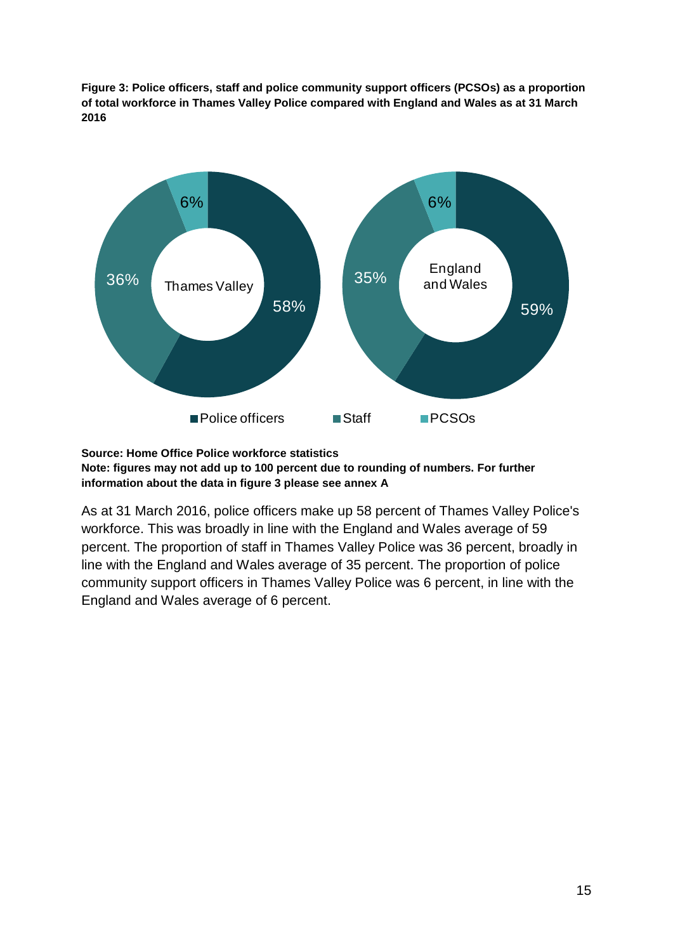**Figure 3: Police officers, staff and police community support officers (PCSOs) as a proportion of total workforce in Thames Valley Police compared with England and Wales as at 31 March 2016**



**Source: Home Office Police workforce statistics**

**Note: figures may not add up to 100 percent due to rounding of numbers. For further information about the data in figure 3 please see annex A**

As at 31 March 2016, police officers make up 58 percent of Thames Valley Police's workforce. This was broadly in line with the England and Wales average of 59 percent. The proportion of staff in Thames Valley Police was 36 percent, broadly in line with the England and Wales average of 35 percent. The proportion of police community support officers in Thames Valley Police was 6 percent, in line with the England and Wales average of 6 percent.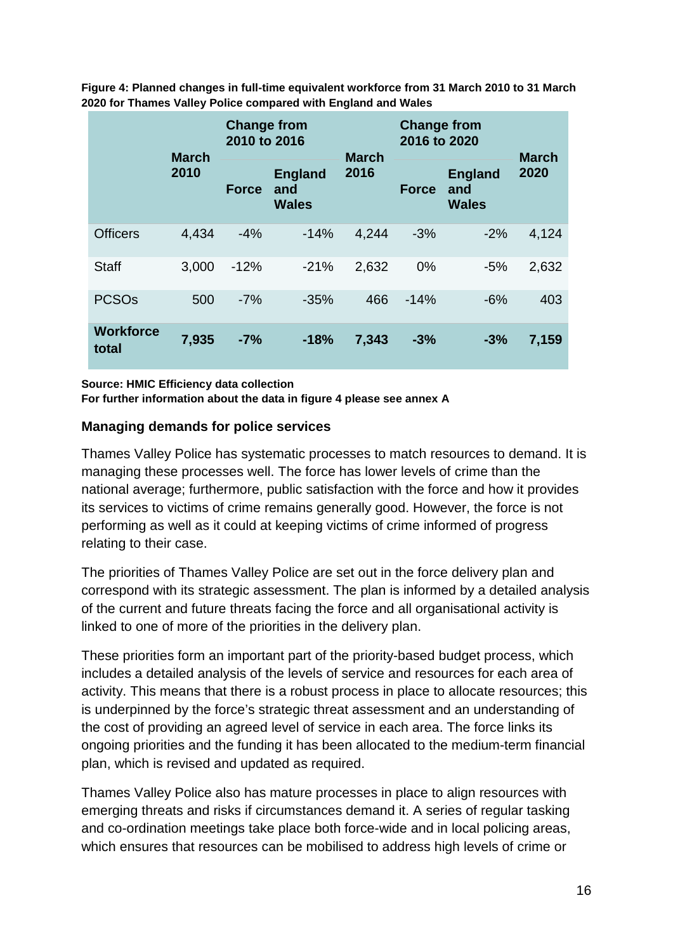**Figure 4: Planned changes in full-time equivalent workforce from 31 March 2010 to 31 March 2020 for Thames Valley Police compared with England and Wales**

|                           | <b>March</b> | <b>Change from</b><br>2010 to 2016 |                                       | <b>March</b> | <b>Change from</b><br>2016 to 2020 |                                       | <b>March</b> |
|---------------------------|--------------|------------------------------------|---------------------------------------|--------------|------------------------------------|---------------------------------------|--------------|
|                           | 2010         | <b>Force</b>                       | <b>England</b><br>and<br><b>Wales</b> | 2016         | <b>Force</b>                       | <b>England</b><br>and<br><b>Wales</b> | 2020         |
| <b>Officers</b>           | 4,434        | $-4%$                              | $-14%$                                | 4,244        | $-3%$                              | $-2%$                                 | 4,124        |
| <b>Staff</b>              | 3,000        | $-12%$                             | $-21%$                                | 2,632        | 0%                                 | $-5%$                                 | 2,632        |
| <b>PCSO<sub>s</sub></b>   | 500          | $-7%$                              | $-35%$                                | 466          | $-14%$                             | $-6%$                                 | 403          |
| <b>Workforce</b><br>total | 7,935        | $-7%$                              | $-18%$                                | 7,343        | $-3%$                              | $-3%$                                 | 7,159        |

**Source: HMIC Efficiency data collection For further information about the data in figure 4 please see annex A**

#### **Managing demands for police services**

Thames Valley Police has systematic processes to match resources to demand. It is managing these processes well. The force has lower levels of crime than the national average; furthermore, public satisfaction with the force and how it provides its services to victims of crime remains generally good. However, the force is not performing as well as it could at keeping victims of crime informed of progress relating to their case.

The priorities of Thames Valley Police are set out in the force delivery plan and correspond with its strategic assessment. The plan is informed by a detailed analysis of the current and future threats facing the force and all organisational activity is linked to one of more of the priorities in the delivery plan.

These priorities form an important part of the priority-based budget process, which includes a detailed analysis of the levels of service and resources for each area of activity. This means that there is a robust process in place to allocate resources; this is underpinned by the force's strategic threat assessment and an understanding of the cost of providing an agreed level of service in each area. The force links its ongoing priorities and the funding it has been allocated to the medium-term financial plan, which is revised and updated as required.

Thames Valley Police also has mature processes in place to align resources with emerging threats and risks if circumstances demand it. A series of regular tasking and co-ordination meetings take place both force-wide and in local policing areas, which ensures that resources can be mobilised to address high levels of crime or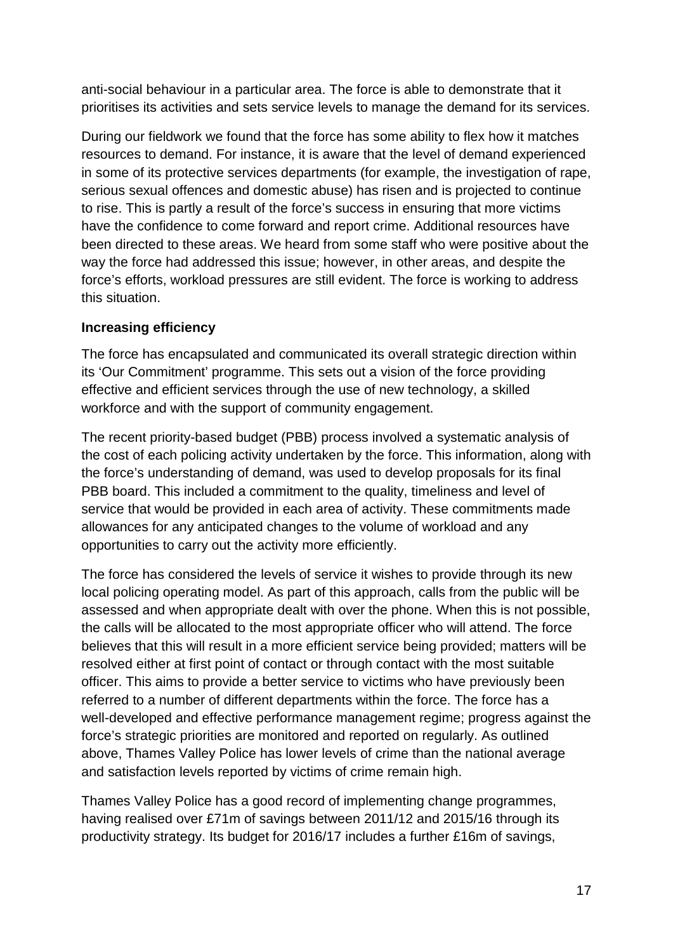anti-social behaviour in a particular area. The force is able to demonstrate that it prioritises its activities and sets service levels to manage the demand for its services.

During our fieldwork we found that the force has some ability to flex how it matches resources to demand. For instance, it is aware that the level of demand experienced in some of its protective services departments (for example, the investigation of rape, serious sexual offences and domestic abuse) has risen and is projected to continue to rise. This is partly a result of the force's success in ensuring that more victims have the confidence to come forward and report crime. Additional resources have been directed to these areas. We heard from some staff who were positive about the way the force had addressed this issue; however, in other areas, and despite the force's efforts, workload pressures are still evident. The force is working to address this situation.

#### **Increasing efficiency**

The force has encapsulated and communicated its overall strategic direction within its 'Our Commitment' programme. This sets out a vision of the force providing effective and efficient services through the use of new technology, a skilled workforce and with the support of community engagement.

The recent priority-based budget (PBB) process involved a systematic analysis of the cost of each policing activity undertaken by the force. This information, along with the force's understanding of demand, was used to develop proposals for its final PBB board. This included a commitment to the quality, timeliness and level of service that would be provided in each area of activity. These commitments made allowances for any anticipated changes to the volume of workload and any opportunities to carry out the activity more efficiently.

The force has considered the levels of service it wishes to provide through its new local policing operating model. As part of this approach, calls from the public will be assessed and when appropriate dealt with over the phone. When this is not possible, the calls will be allocated to the most appropriate officer who will attend. The force believes that this will result in a more efficient service being provided; matters will be resolved either at first point of contact or through contact with the most suitable officer. This aims to provide a better service to victims who have previously been referred to a number of different departments within the force. The force has a well-developed and effective performance management regime; progress against the force's strategic priorities are monitored and reported on regularly. As outlined above, Thames Valley Police has lower levels of crime than the national average and satisfaction levels reported by victims of crime remain high.

Thames Valley Police has a good record of implementing change programmes, having realised over £71m of savings between 2011/12 and 2015/16 through its productivity strategy. Its budget for 2016/17 includes a further £16m of savings,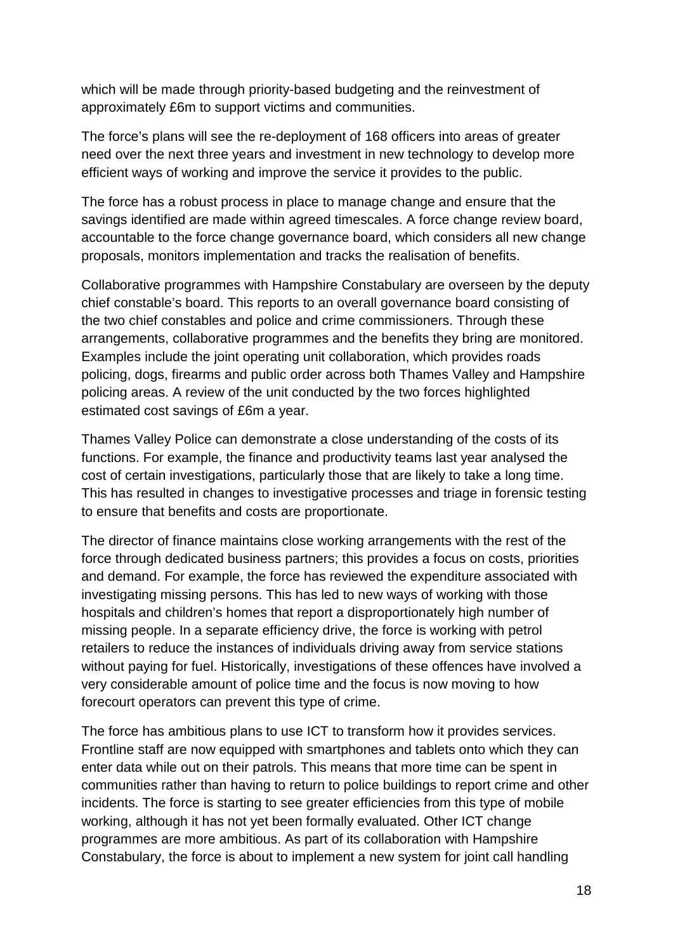which will be made through priority-based budgeting and the reinvestment of approximately £6m to support victims and communities.

The force's plans will see the re-deployment of 168 officers into areas of greater need over the next three years and investment in new technology to develop more efficient ways of working and improve the service it provides to the public.

The force has a robust process in place to manage change and ensure that the savings identified are made within agreed timescales. A force change review board, accountable to the force change governance board, which considers all new change proposals, monitors implementation and tracks the realisation of benefits.

Collaborative programmes with Hampshire Constabulary are overseen by the deputy chief constable's board. This reports to an overall governance board consisting of the two chief constables and police and crime commissioners. Through these arrangements, collaborative programmes and the benefits they bring are monitored. Examples include the joint operating unit collaboration, which provides roads policing, dogs, firearms and public order across both Thames Valley and Hampshire policing areas. A review of the unit conducted by the two forces highlighted estimated cost savings of £6m a year.

Thames Valley Police can demonstrate a close understanding of the costs of its functions. For example, the finance and productivity teams last year analysed the cost of certain investigations, particularly those that are likely to take a long time. This has resulted in changes to investigative processes and triage in forensic testing to ensure that benefits and costs are proportionate.

The director of finance maintains close working arrangements with the rest of the force through dedicated business partners; this provides a focus on costs, priorities and demand. For example, the force has reviewed the expenditure associated with investigating missing persons. This has led to new ways of working with those hospitals and children's homes that report a disproportionately high number of missing people. In a separate efficiency drive, the force is working with petrol retailers to reduce the instances of individuals driving away from service stations without paying for fuel. Historically, investigations of these offences have involved a very considerable amount of police time and the focus is now moving to how forecourt operators can prevent this type of crime.

The force has ambitious plans to use ICT to transform how it provides services. Frontline staff are now equipped with smartphones and tablets onto which they can enter data while out on their patrols. This means that more time can be spent in communities rather than having to return to police buildings to report crime and other incidents. The force is starting to see greater efficiencies from this type of mobile working, although it has not yet been formally evaluated. Other ICT change programmes are more ambitious. As part of its collaboration with Hampshire Constabulary, the force is about to implement a new system for joint call handling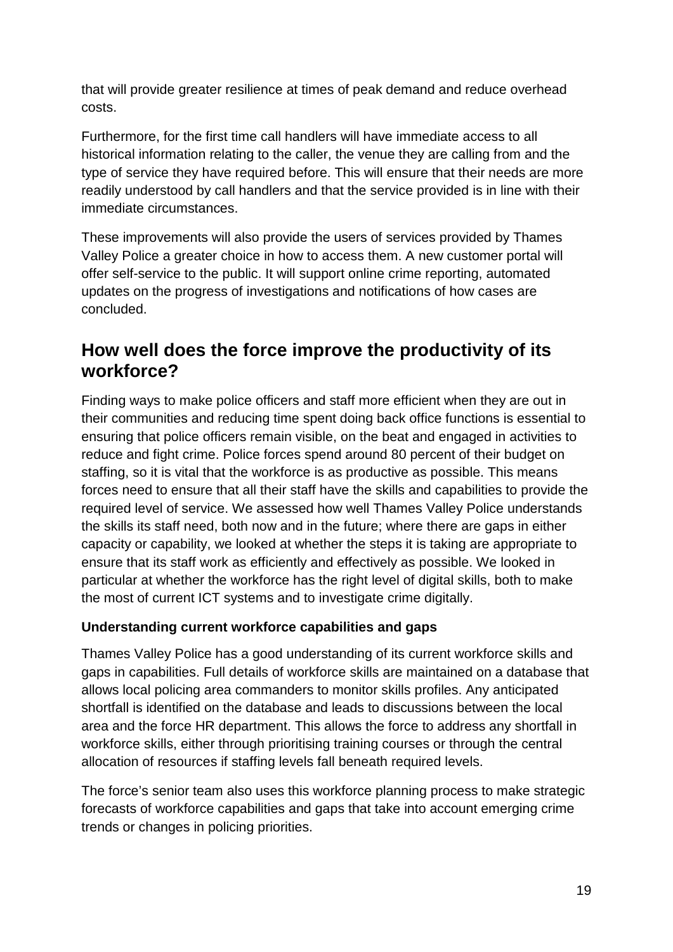that will provide greater resilience at times of peak demand and reduce overhead costs.

Furthermore, for the first time call handlers will have immediate access to all historical information relating to the caller, the venue they are calling from and the type of service they have required before. This will ensure that their needs are more readily understood by call handlers and that the service provided is in line with their immediate circumstances.

These improvements will also provide the users of services provided by Thames Valley Police a greater choice in how to access them. A new customer portal will offer self-service to the public. It will support online crime reporting, automated updates on the progress of investigations and notifications of how cases are concluded.

## <span id="page-18-0"></span>**How well does the force improve the productivity of its workforce?**

Finding ways to make police officers and staff more efficient when they are out in their communities and reducing time spent doing back office functions is essential to ensuring that police officers remain visible, on the beat and engaged in activities to reduce and fight crime. Police forces spend around 80 percent of their budget on staffing, so it is vital that the workforce is as productive as possible. This means forces need to ensure that all their staff have the skills and capabilities to provide the required level of service. We assessed how well Thames Valley Police understands the skills its staff need, both now and in the future; where there are gaps in either capacity or capability, we looked at whether the steps it is taking are appropriate to ensure that its staff work as efficiently and effectively as possible. We looked in particular at whether the workforce has the right level of digital skills, both to make the most of current ICT systems and to investigate crime digitally.

#### **Understanding current workforce capabilities and gaps**

Thames Valley Police has a good understanding of its current workforce skills and gaps in capabilities. Full details of workforce skills are maintained on a database that allows local policing area commanders to monitor skills profiles. Any anticipated shortfall is identified on the database and leads to discussions between the local area and the force HR department. This allows the force to address any shortfall in workforce skills, either through prioritising training courses or through the central allocation of resources if staffing levels fall beneath required levels.

The force's senior team also uses this workforce planning process to make strategic forecasts of workforce capabilities and gaps that take into account emerging crime trends or changes in policing priorities.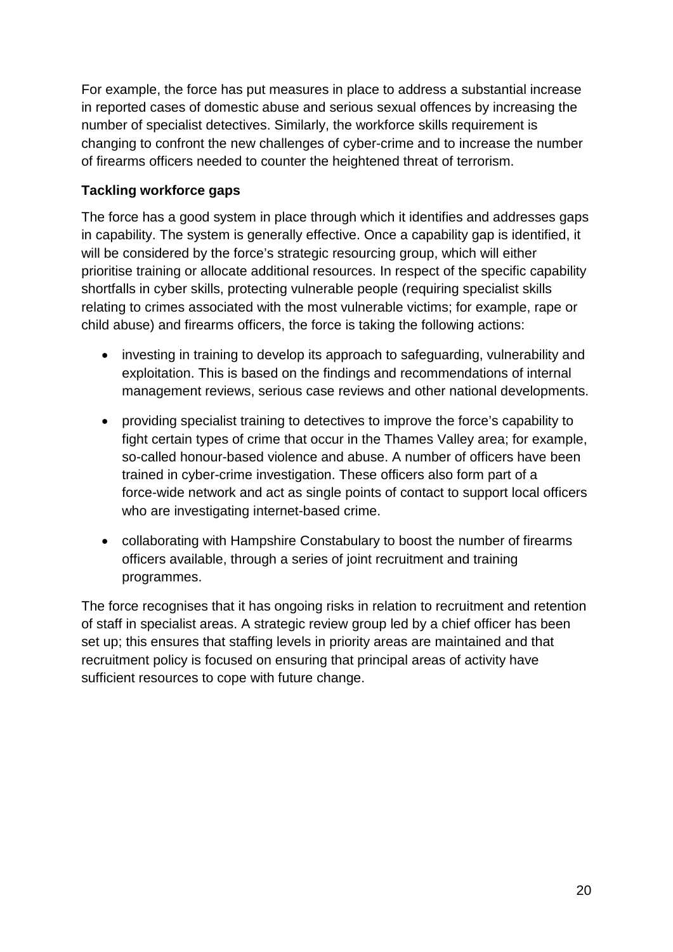For example, the force has put measures in place to address a substantial increase in reported cases of domestic abuse and serious sexual offences by increasing the number of specialist detectives. Similarly, the workforce skills requirement is changing to confront the new challenges of cyber-crime and to increase the number of firearms officers needed to counter the heightened threat of terrorism.

#### **Tackling workforce gaps**

The force has a good system in place through which it identifies and addresses gaps in capability. The system is generally effective. Once a capability gap is identified, it will be considered by the force's strategic resourcing group, which will either prioritise training or allocate additional resources. In respect of the specific capability shortfalls in cyber skills, protecting vulnerable people (requiring specialist skills relating to crimes associated with the most vulnerable victims; for example, rape or child abuse) and firearms officers, the force is taking the following actions:

- investing in training to develop its approach to safeguarding, vulnerability and exploitation. This is based on the findings and recommendations of internal management reviews, serious case reviews and other national developments.
- providing specialist training to detectives to improve the force's capability to fight certain types of crime that occur in the Thames Valley area; for example, so-called honour-based violence and abuse. A number of officers have been trained in cyber-crime investigation. These officers also form part of a force-wide network and act as single points of contact to support local officers who are investigating internet-based crime.
- collaborating with Hampshire Constabulary to boost the number of firearms officers available, through a series of joint recruitment and training programmes.

The force recognises that it has ongoing risks in relation to recruitment and retention of staff in specialist areas. A strategic review group led by a chief officer has been set up; this ensures that staffing levels in priority areas are maintained and that recruitment policy is focused on ensuring that principal areas of activity have sufficient resources to cope with future change.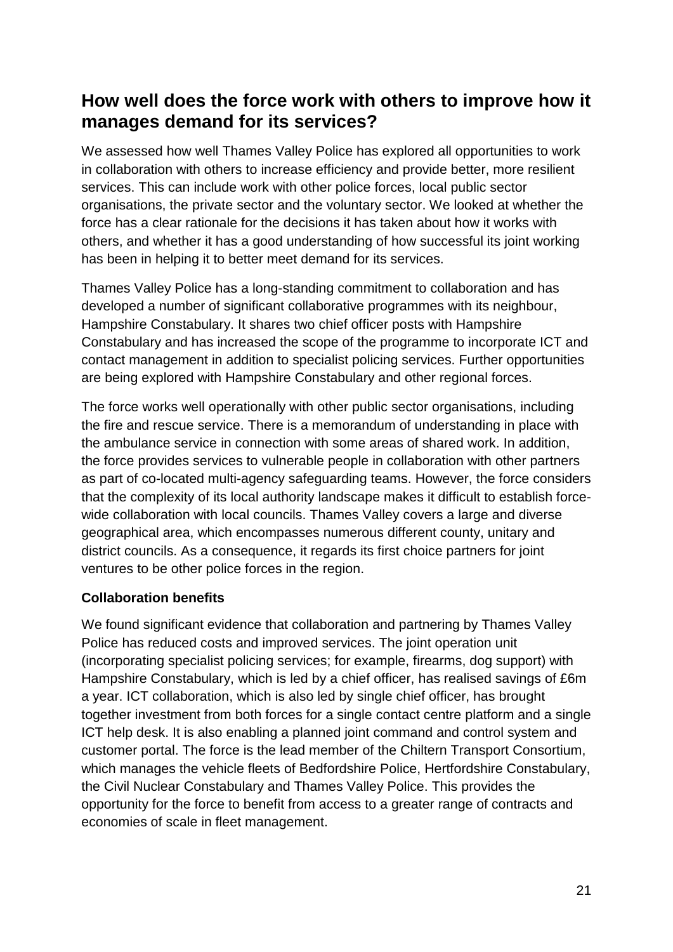## <span id="page-20-0"></span>**How well does the force work with others to improve how it manages demand for its services?**

We assessed how well Thames Valley Police has explored all opportunities to work in collaboration with others to increase efficiency and provide better, more resilient services. This can include work with other police forces, local public sector organisations, the private sector and the voluntary sector. We looked at whether the force has a clear rationale for the decisions it has taken about how it works with others, and whether it has a good understanding of how successful its joint working has been in helping it to better meet demand for its services.

Thames Valley Police has a long-standing commitment to collaboration and has developed a number of significant collaborative programmes with its neighbour, Hampshire Constabulary. It shares two chief officer posts with Hampshire Constabulary and has increased the scope of the programme to incorporate ICT and contact management in addition to specialist policing services. Further opportunities are being explored with Hampshire Constabulary and other regional forces.

The force works well operationally with other public sector organisations, including the fire and rescue service. There is a memorandum of understanding in place with the ambulance service in connection with some areas of shared work. In addition, the force provides services to vulnerable people in collaboration with other partners as part of co-located multi-agency safeguarding teams. However, the force considers that the complexity of its local authority landscape makes it difficult to establish forcewide collaboration with local councils. Thames Valley covers a large and diverse geographical area, which encompasses numerous different county, unitary and district councils. As a consequence, it regards its first choice partners for joint ventures to be other police forces in the region.

#### **Collaboration benefits**

We found significant evidence that collaboration and partnering by Thames Valley Police has reduced costs and improved services. The joint operation unit (incorporating specialist policing services; for example, firearms, dog support) with Hampshire Constabulary, which is led by a chief officer, has realised savings of £6m a year. ICT collaboration, which is also led by single chief officer, has brought together investment from both forces for a single contact centre platform and a single ICT help desk. It is also enabling a planned joint command and control system and customer portal. The force is the lead member of the Chiltern Transport Consortium, which manages the vehicle fleets of Bedfordshire Police, Hertfordshire Constabulary, the Civil Nuclear Constabulary and Thames Valley Police. This provides the opportunity for the force to benefit from access to a greater range of contracts and economies of scale in fleet management.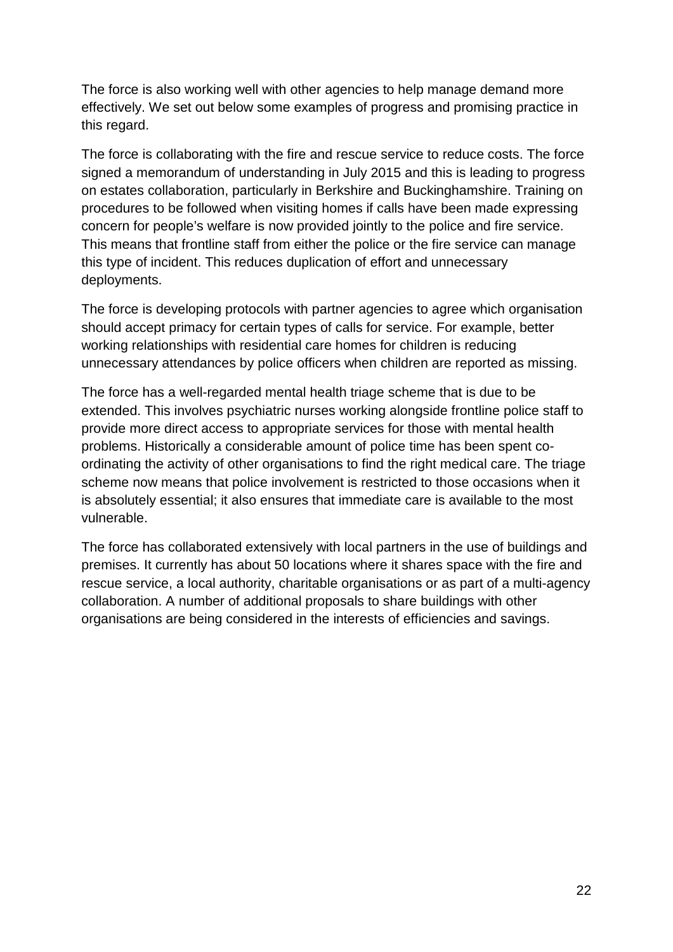The force is also working well with other agencies to help manage demand more effectively. We set out below some examples of progress and promising practice in this regard.

The force is collaborating with the fire and rescue service to reduce costs. The force signed a memorandum of understanding in July 2015 and this is leading to progress on estates collaboration, particularly in Berkshire and Buckinghamshire. Training on procedures to be followed when visiting homes if calls have been made expressing concern for people's welfare is now provided jointly to the police and fire service. This means that frontline staff from either the police or the fire service can manage this type of incident. This reduces duplication of effort and unnecessary deployments.

The force is developing protocols with partner agencies to agree which organisation should accept primacy for certain types of calls for service. For example, better working relationships with residential care homes for children is reducing unnecessary attendances by police officers when children are reported as missing.

The force has a well-regarded mental health triage scheme that is due to be extended. This involves psychiatric nurses working alongside frontline police staff to provide more direct access to appropriate services for those with mental health problems. Historically a considerable amount of police time has been spent coordinating the activity of other organisations to find the right medical care. The triage scheme now means that police involvement is restricted to those occasions when it is absolutely essential; it also ensures that immediate care is available to the most vulnerable.

The force has collaborated extensively with local partners in the use of buildings and premises. It currently has about 50 locations where it shares space with the fire and rescue service, a local authority, charitable organisations or as part of a multi-agency collaboration. A number of additional proposals to share buildings with other organisations are being considered in the interests of efficiencies and savings.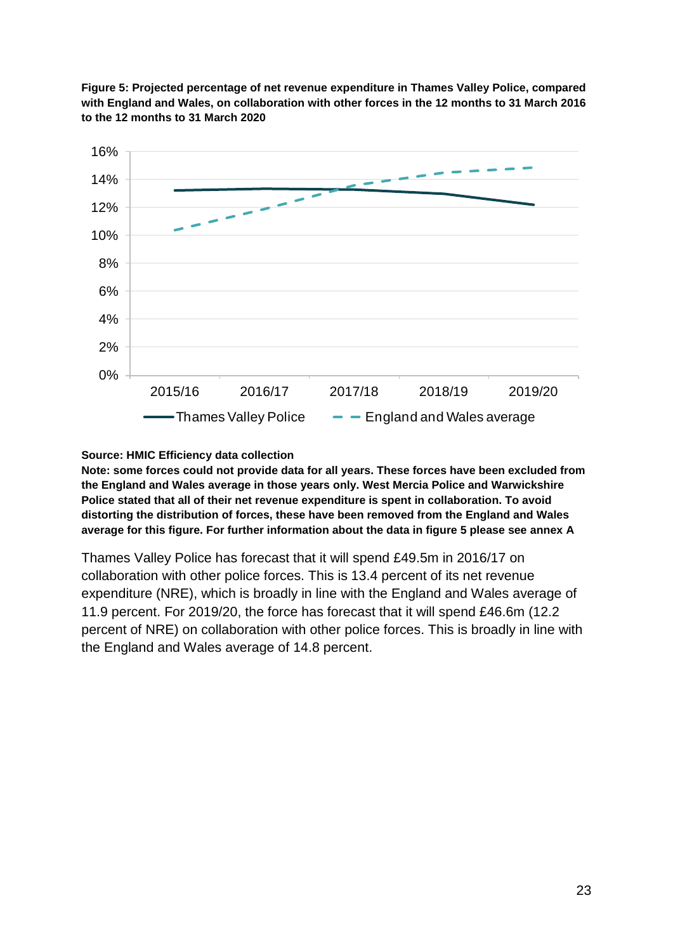

**Figure 5: Projected percentage of net revenue expenditure in Thames Valley Police, compared with England and Wales, on collaboration with other forces in the 12 months to 31 March 2016 to the 12 months to 31 March 2020**

#### **Source: HMIC Efficiency data collection**

**Note: some forces could not provide data for all years. These forces have been excluded from the England and Wales average in those years only. West Mercia Police and Warwickshire Police stated that all of their net revenue expenditure is spent in collaboration. To avoid distorting the distribution of forces, these have been removed from the England and Wales average for this figure. For further information about the data in figure 5 please see annex A**

Thames Valley Police has forecast that it will spend £49.5m in 2016/17 on collaboration with other police forces. This is 13.4 percent of its net revenue expenditure (NRE), which is broadly in line with the England and Wales average of 11.9 percent. For 2019/20, the force has forecast that it will spend £46.6m (12.2 percent of NRE) on collaboration with other police forces. This is broadly in line with the England and Wales average of 14.8 percent.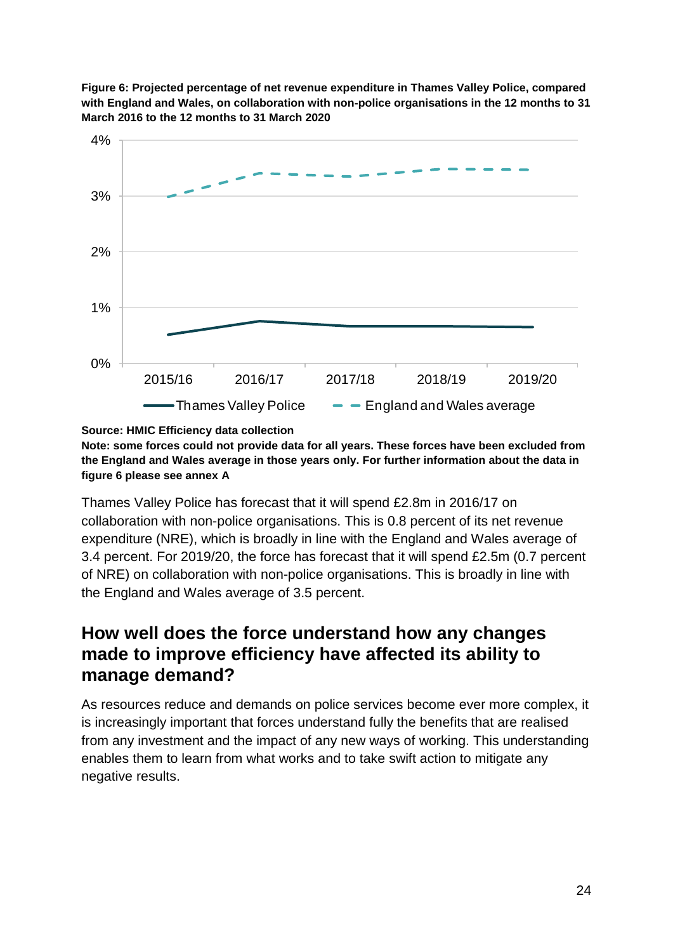



**Source: HMIC Efficiency data collection Note: some forces could not provide data for all years. These forces have been excluded from the England and Wales average in those years only. For further information about the data in figure 6 please see annex A**

Thames Valley Police has forecast that it will spend £2.8m in 2016/17 on collaboration with non-police organisations. This is 0.8 percent of its net revenue expenditure (NRE), which is broadly in line with the England and Wales average of 3.4 percent. For 2019/20, the force has forecast that it will spend £2.5m (0.7 percent of NRE) on collaboration with non-police organisations. This is broadly in line with the England and Wales average of 3.5 percent.

## <span id="page-23-0"></span>**How well does the force understand how any changes made to improve efficiency have affected its ability to manage demand?**

As resources reduce and demands on police services become ever more complex, it is increasingly important that forces understand fully the benefits that are realised from any investment and the impact of any new ways of working. This understanding enables them to learn from what works and to take swift action to mitigate any negative results.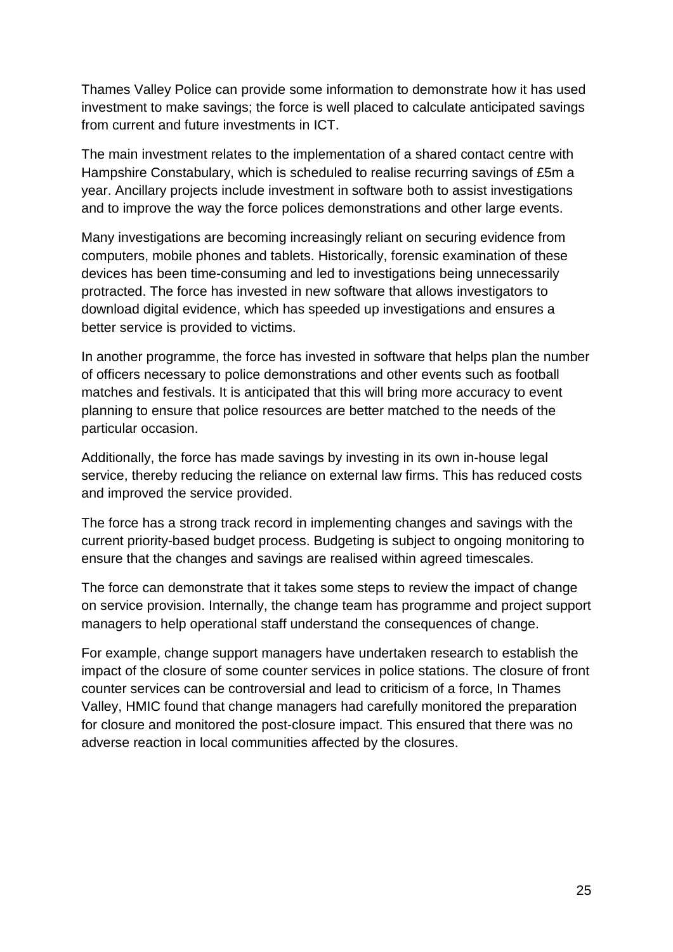Thames Valley Police can provide some information to demonstrate how it has used investment to make savings; the force is well placed to calculate anticipated savings from current and future investments in ICT.

The main investment relates to the implementation of a shared contact centre with Hampshire Constabulary, which is scheduled to realise recurring savings of £5m a year. Ancillary projects include investment in software both to assist investigations and to improve the way the force polices demonstrations and other large events.

Many investigations are becoming increasingly reliant on securing evidence from computers, mobile phones and tablets. Historically, forensic examination of these devices has been time-consuming and led to investigations being unnecessarily protracted. The force has invested in new software that allows investigators to download digital evidence, which has speeded up investigations and ensures a better service is provided to victims.

In another programme, the force has invested in software that helps plan the number of officers necessary to police demonstrations and other events such as football matches and festivals. It is anticipated that this will bring more accuracy to event planning to ensure that police resources are better matched to the needs of the particular occasion.

Additionally, the force has made savings by investing in its own in-house legal service, thereby reducing the reliance on external law firms. This has reduced costs and improved the service provided.

The force has a strong track record in implementing changes and savings with the current priority-based budget process. Budgeting is subject to ongoing monitoring to ensure that the changes and savings are realised within agreed timescales.

The force can demonstrate that it takes some steps to review the impact of change on service provision. Internally, the change team has programme and project support managers to help operational staff understand the consequences of change.

For example, change support managers have undertaken research to establish the impact of the closure of some counter services in police stations. The closure of front counter services can be controversial and lead to criticism of a force, In Thames Valley, HMIC found that change managers had carefully monitored the preparation for closure and monitored the post-closure impact. This ensured that there was no adverse reaction in local communities affected by the closures.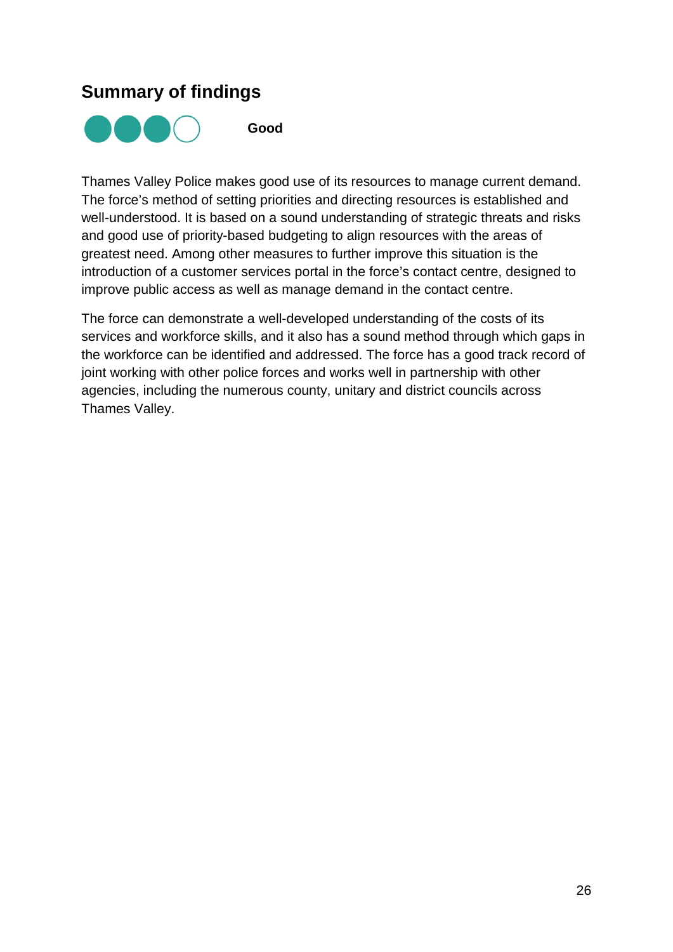## <span id="page-25-0"></span>**Summary of findings**



**Good** 

Thames Valley Police makes good use of its resources to manage current demand. The force's method of setting priorities and directing resources is established and well-understood. It is based on a sound understanding of strategic threats and risks and good use of priority-based budgeting to align resources with the areas of greatest need. Among other measures to further improve this situation is the introduction of a customer services portal in the force's contact centre, designed to improve public access as well as manage demand in the contact centre.

The force can demonstrate a well-developed understanding of the costs of its services and workforce skills, and it also has a sound method through which gaps in the workforce can be identified and addressed. The force has a good track record of joint working with other police forces and works well in partnership with other agencies, including the numerous county, unitary and district councils across Thames Valley.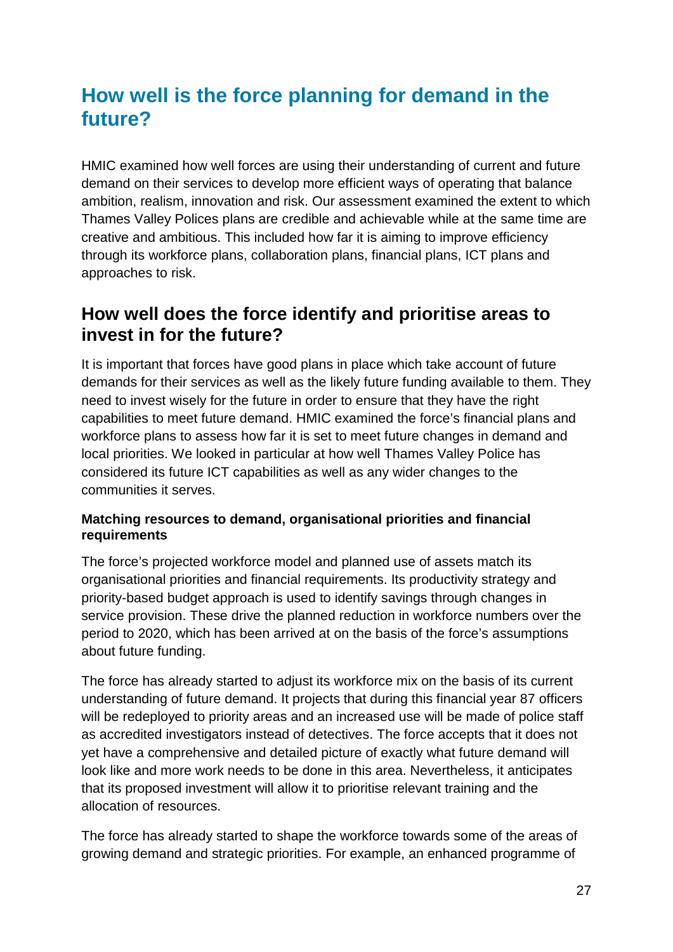# <span id="page-26-0"></span>**How well is the force planning for demand in the future?**

HMIC examined how well forces are using their understanding of current and future demand on their services to develop more efficient ways of operating that balance ambition, realism, innovation and risk. Our assessment examined the extent to which Thames Valley Polices plans are credible and achievable while at the same time are creative and ambitious. This included how far it is aiming to improve efficiency through its workforce plans, collaboration plans, financial plans, ICT plans and approaches to risk.

## <span id="page-26-1"></span>**How well does the force identify and prioritise areas to invest in for the future?**

It is important that forces have good plans in place which take account of future demands for their services as well as the likely future funding available to them. They need to invest wisely for the future in order to ensure that they have the right capabilities to meet future demand. HMIC examined the force's financial plans and workforce plans to assess how far it is set to meet future changes in demand and local priorities. We looked in particular at how well Thames Valley Police has considered its future ICT capabilities as well as any wider changes to the communities it serves.

#### **Matching resources to demand, organisational priorities and financial requirements**

The force's projected workforce model and planned use of assets match its organisational priorities and financial requirements. Its productivity strategy and priority-based budget approach is used to identify savings through changes in service provision. These drive the planned reduction in workforce numbers over the period to 2020, which has been arrived at on the basis of the force's assumptions about future funding.

The force has already started to adjust its workforce mix on the basis of its current understanding of future demand. It projects that during this financial year 87 officers will be redeployed to priority areas and an increased use will be made of police staff as accredited investigators instead of detectives. The force accepts that it does not yet have a comprehensive and detailed picture of exactly what future demand will look like and more work needs to be done in this area. Nevertheless, it anticipates that its proposed investment will allow it to prioritise relevant training and the allocation of resources.

The force has already started to shape the workforce towards some of the areas of growing demand and strategic priorities. For example, an enhanced programme of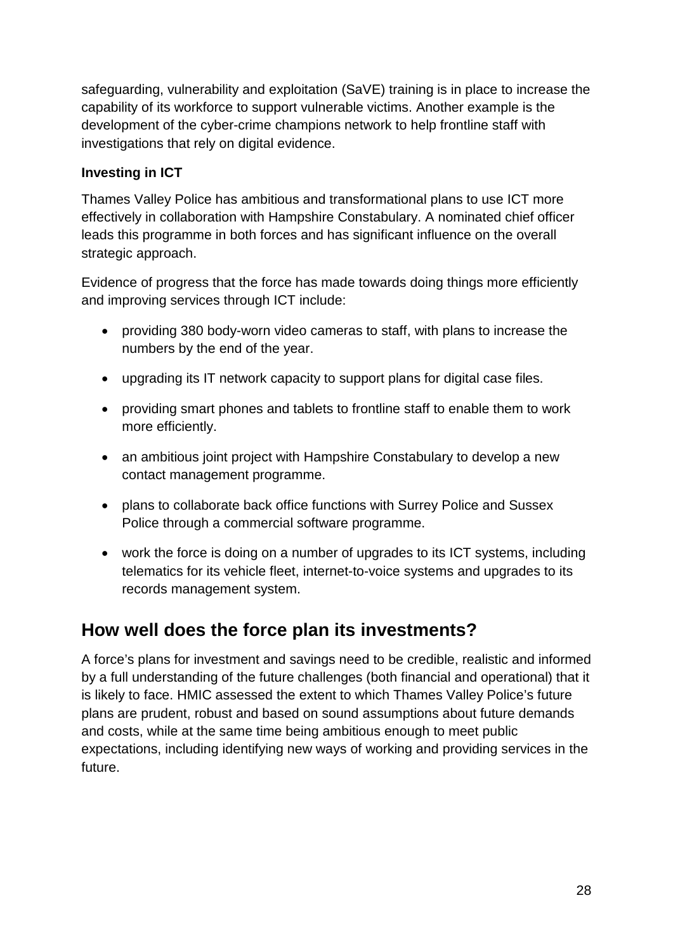safeguarding, vulnerability and exploitation (SaVE) training is in place to increase the capability of its workforce to support vulnerable victims. Another example is the development of the cyber-crime champions network to help frontline staff with investigations that rely on digital evidence.

#### **Investing in ICT**

Thames Valley Police has ambitious and transformational plans to use ICT more effectively in collaboration with Hampshire Constabulary. A nominated chief officer leads this programme in both forces and has significant influence on the overall strategic approach.

Evidence of progress that the force has made towards doing things more efficiently and improving services through ICT include:

- providing 380 body-worn video cameras to staff, with plans to increase the numbers by the end of the year.
- upgrading its IT network capacity to support plans for digital case files.
- providing smart phones and tablets to frontline staff to enable them to work more efficiently.
- an ambitious joint project with Hampshire Constabulary to develop a new contact management programme.
- plans to collaborate back office functions with Surrey Police and Sussex Police through a commercial software programme.
- work the force is doing on a number of upgrades to its ICT systems, including telematics for its vehicle fleet, internet-to-voice systems and upgrades to its records management system.

## <span id="page-27-0"></span>**How well does the force plan its investments?**

A force's plans for investment and savings need to be credible, realistic and informed by a full understanding of the future challenges (both financial and operational) that it is likely to face. HMIC assessed the extent to which Thames Valley Police's future plans are prudent, robust and based on sound assumptions about future demands and costs, while at the same time being ambitious enough to meet public expectations, including identifying new ways of working and providing services in the future.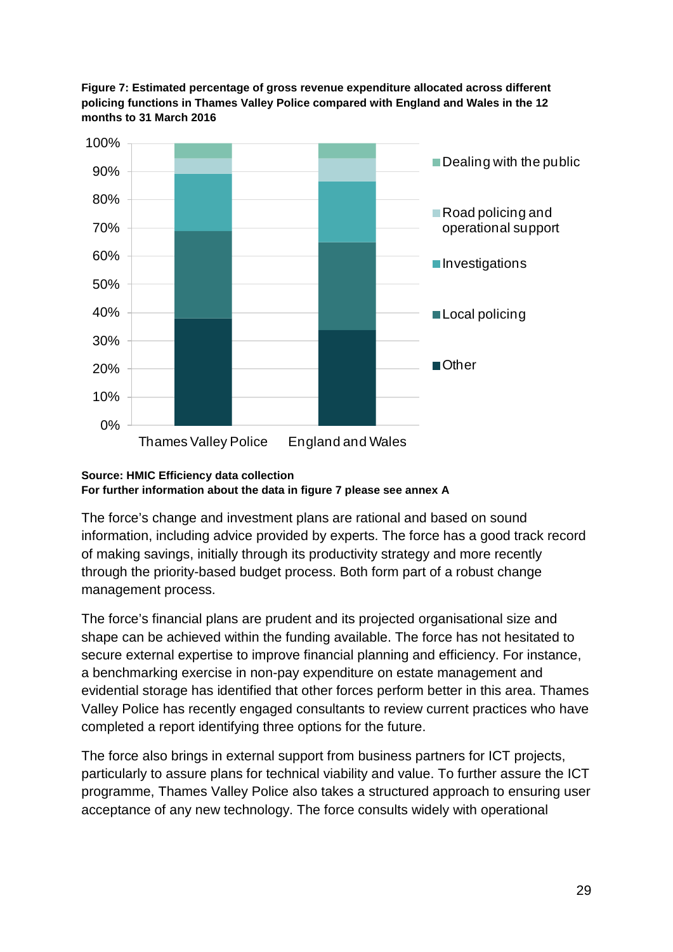



#### **Source: HMIC Efficiency data collection For further information about the data in figure 7 please see annex A**

The force's change and investment plans are rational and based on sound information, including advice provided by experts. The force has a good track record of making savings, initially through its productivity strategy and more recently through the priority-based budget process. Both form part of a robust change management process.

The force's financial plans are prudent and its projected organisational size and shape can be achieved within the funding available. The force has not hesitated to secure external expertise to improve financial planning and efficiency. For instance, a benchmarking exercise in non-pay expenditure on estate management and evidential storage has identified that other forces perform better in this area. Thames Valley Police has recently engaged consultants to review current practices who have completed a report identifying three options for the future.

The force also brings in external support from business partners for ICT projects, particularly to assure plans for technical viability and value. To further assure the ICT programme, Thames Valley Police also takes a structured approach to ensuring user acceptance of any new technology. The force consults widely with operational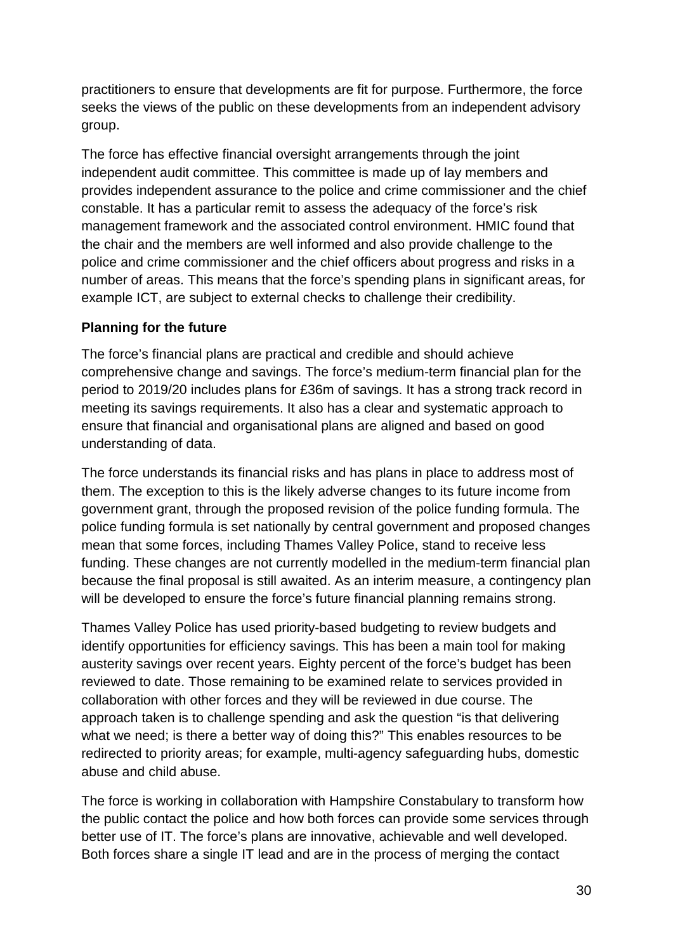practitioners to ensure that developments are fit for purpose. Furthermore, the force seeks the views of the public on these developments from an independent advisory group.

The force has effective financial oversight arrangements through the joint independent audit committee. This committee is made up of lay members and provides independent assurance to the police and crime commissioner and the chief constable. It has a particular remit to assess the adequacy of the force's risk management framework and the associated control environment. HMIC found that the chair and the members are well informed and also provide challenge to the police and crime commissioner and the chief officers about progress and risks in a number of areas. This means that the force's spending plans in significant areas, for example ICT, are subject to external checks to challenge their credibility.

#### **Planning for the future**

The force's financial plans are practical and credible and should achieve comprehensive change and savings. The force's medium-term financial plan for the period to 2019/20 includes plans for £36m of savings. It has a strong track record in meeting its savings requirements. It also has a clear and systematic approach to ensure that financial and organisational plans are aligned and based on good understanding of data.

The force understands its financial risks and has plans in place to address most of them. The exception to this is the likely adverse changes to its future income from government grant, through the proposed revision of the police funding formula. The police funding formula is set nationally by central government and proposed changes mean that some forces, including Thames Valley Police, stand to receive less funding. These changes are not currently modelled in the medium-term financial plan because the final proposal is still awaited. As an interim measure, a contingency plan will be developed to ensure the force's future financial planning remains strong.

Thames Valley Police has used priority-based budgeting to review budgets and identify opportunities for efficiency savings. This has been a main tool for making austerity savings over recent years. Eighty percent of the force's budget has been reviewed to date. Those remaining to be examined relate to services provided in collaboration with other forces and they will be reviewed in due course. The approach taken is to challenge spending and ask the question "is that delivering what we need; is there a better way of doing this?" This enables resources to be redirected to priority areas; for example, multi-agency safeguarding hubs, domestic abuse and child abuse.

The force is working in collaboration with Hampshire Constabulary to transform how the public contact the police and how both forces can provide some services through better use of IT. The force's plans are innovative, achievable and well developed. Both forces share a single IT lead and are in the process of merging the contact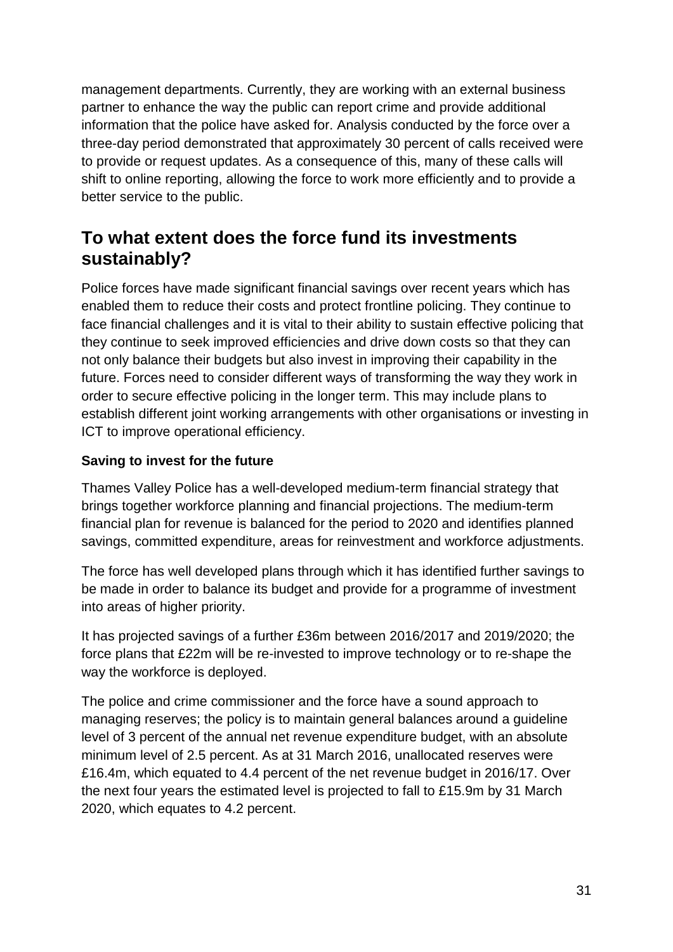management departments. Currently, they are working with an external business partner to enhance the way the public can report crime and provide additional information that the police have asked for. Analysis conducted by the force over a three-day period demonstrated that approximately 30 percent of calls received were to provide or request updates. As a consequence of this, many of these calls will shift to online reporting, allowing the force to work more efficiently and to provide a better service to the public.

## <span id="page-30-0"></span>**To what extent does the force fund its investments sustainably?**

Police forces have made significant financial savings over recent years which has enabled them to reduce their costs and protect frontline policing. They continue to face financial challenges and it is vital to their ability to sustain effective policing that they continue to seek improved efficiencies and drive down costs so that they can not only balance their budgets but also invest in improving their capability in the future. Forces need to consider different ways of transforming the way they work in order to secure effective policing in the longer term. This may include plans to establish different joint working arrangements with other organisations or investing in ICT to improve operational efficiency.

#### **Saving to invest for the future**

Thames Valley Police has a well-developed medium-term financial strategy that brings together workforce planning and financial projections. The medium-term financial plan for revenue is balanced for the period to 2020 and identifies planned savings, committed expenditure, areas for reinvestment and workforce adjustments.

The force has well developed plans through which it has identified further savings to be made in order to balance its budget and provide for a programme of investment into areas of higher priority.

It has projected savings of a further £36m between 2016/2017 and 2019/2020; the force plans that £22m will be re-invested to improve technology or to re-shape the way the workforce is deployed.

The police and crime commissioner and the force have a sound approach to managing reserves; the policy is to maintain general balances around a guideline level of 3 percent of the annual net revenue expenditure budget, with an absolute minimum level of 2.5 percent. As at 31 March 2016, unallocated reserves were £16.4m, which equated to 4.4 percent of the net revenue budget in 2016/17. Over the next four years the estimated level is projected to fall to £15.9m by 31 March 2020, which equates to 4.2 percent.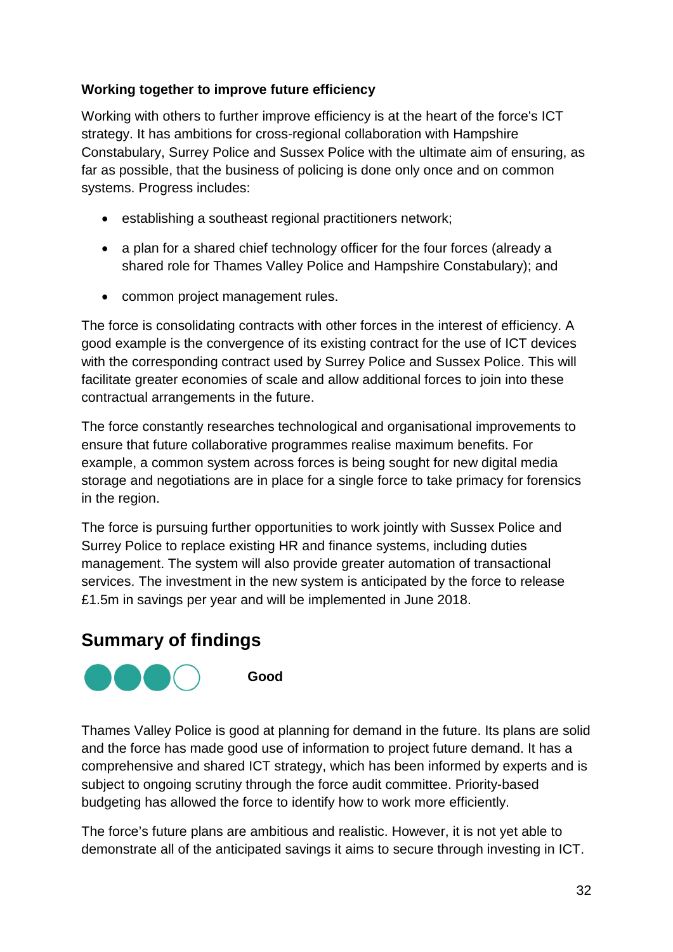#### **Working together to improve future efficiency**

Working with others to further improve efficiency is at the heart of the force's ICT strategy. It has ambitions for cross-regional collaboration with Hampshire Constabulary, Surrey Police and Sussex Police with the ultimate aim of ensuring, as far as possible, that the business of policing is done only once and on common systems. Progress includes:

- establishing a southeast regional practitioners network;
- a plan for a shared chief technology officer for the four forces (already a shared role for Thames Valley Police and Hampshire Constabulary); and
- common project management rules.

The force is consolidating contracts with other forces in the interest of efficiency. A good example is the convergence of its existing contract for the use of ICT devices with the corresponding contract used by Surrey Police and Sussex Police. This will facilitate greater economies of scale and allow additional forces to join into these contractual arrangements in the future.

The force constantly researches technological and organisational improvements to ensure that future collaborative programmes realise maximum benefits. For example, a common system across forces is being sought for new digital media storage and negotiations are in place for a single force to take primacy for forensics in the region.

The force is pursuing further opportunities to work jointly with Sussex Police and Surrey Police to replace existing HR and finance systems, including duties management. The system will also provide greater automation of transactional services. The investment in the new system is anticipated by the force to release £1.5m in savings per year and will be implemented in June 2018.

## <span id="page-31-0"></span>**Summary of findings**



Thames Valley Police is good at planning for demand in the future. Its plans are solid and the force has made good use of information to project future demand. It has a comprehensive and shared ICT strategy, which has been informed by experts and is subject to ongoing scrutiny through the force audit committee. Priority-based budgeting has allowed the force to identify how to work more efficiently.

The force's future plans are ambitious and realistic. However, it is not yet able to demonstrate all of the anticipated savings it aims to secure through investing in ICT.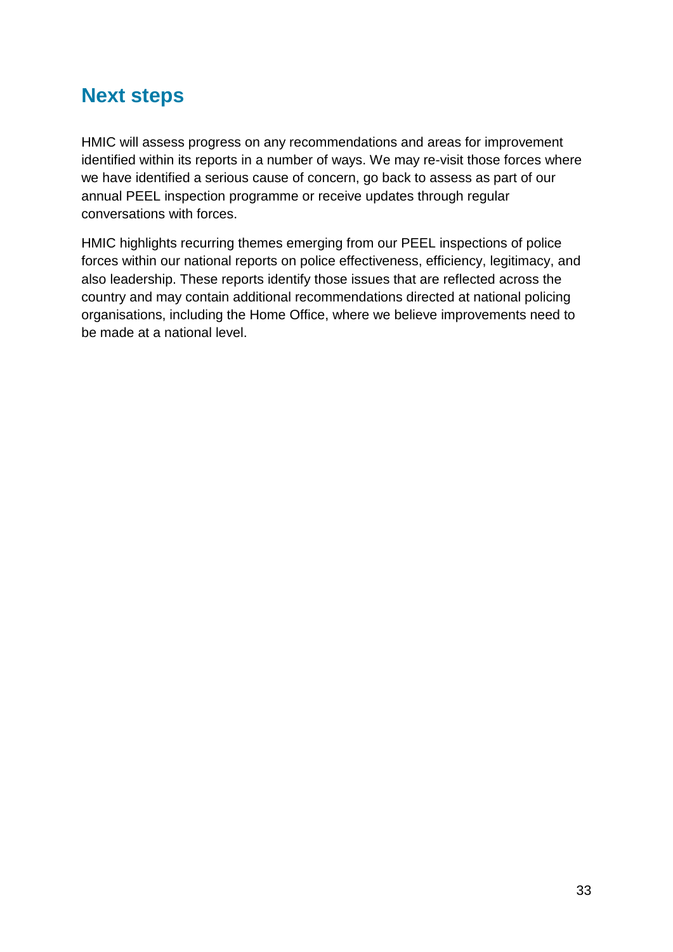# <span id="page-32-0"></span>**Next steps**

HMIC will assess progress on any recommendations and areas for improvement identified within its reports in a number of ways. We may re-visit those forces where we have identified a serious cause of concern, go back to assess as part of our annual PEEL inspection programme or receive updates through regular conversations with forces.

HMIC highlights recurring themes emerging from our PEEL inspections of police forces within our national reports on police effectiveness, efficiency, legitimacy, and also leadership. These reports identify those issues that are reflected across the country and may contain additional recommendations directed at national policing organisations, including the Home Office, where we believe improvements need to be made at a national level.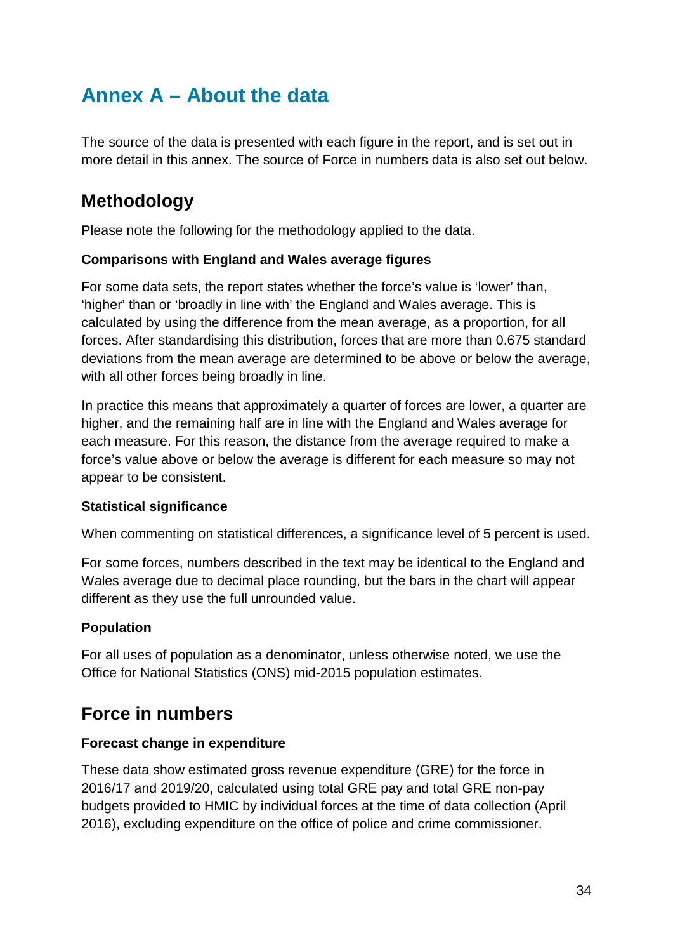# <span id="page-33-0"></span>**Annex A – About the data**

The source of the data is presented with each figure in the report, and is set out in more detail in this annex. The source of Force in numbers data is also set out below.

## **Methodology**

Please note the following for the methodology applied to the data.

#### **Comparisons with England and Wales average figures**

For some data sets, the report states whether the force's value is 'lower' than, 'higher' than or 'broadly in line with' the England and Wales average. This is calculated by using the difference from the mean average, as a proportion, for all forces. After standardising this distribution, forces that are more than 0.675 standard deviations from the mean average are determined to be above or below the average, with all other forces being broadly in line.

In practice this means that approximately a quarter of forces are lower, a quarter are higher, and the remaining half are in line with the England and Wales average for each measure. For this reason, the distance from the average required to make a force's value above or below the average is different for each measure so may not appear to be consistent.

#### **Statistical significance**

When commenting on statistical differences, a significance level of 5 percent is used.

For some forces, numbers described in the text may be identical to the England and Wales average due to decimal place rounding, but the bars in the chart will appear different as they use the full unrounded value.

#### **Population**

For all uses of population as a denominator, unless otherwise noted, we use the Office for National Statistics (ONS) mid-2015 population estimates.

## **Force in numbers**

#### **Forecast change in expenditure**

These data show estimated gross revenue expenditure (GRE) for the force in 2016/17 and 2019/20, calculated using total GRE pay and total GRE non-pay budgets provided to HMIC by individual forces at the time of data collection (April 2016), excluding expenditure on the office of police and crime commissioner.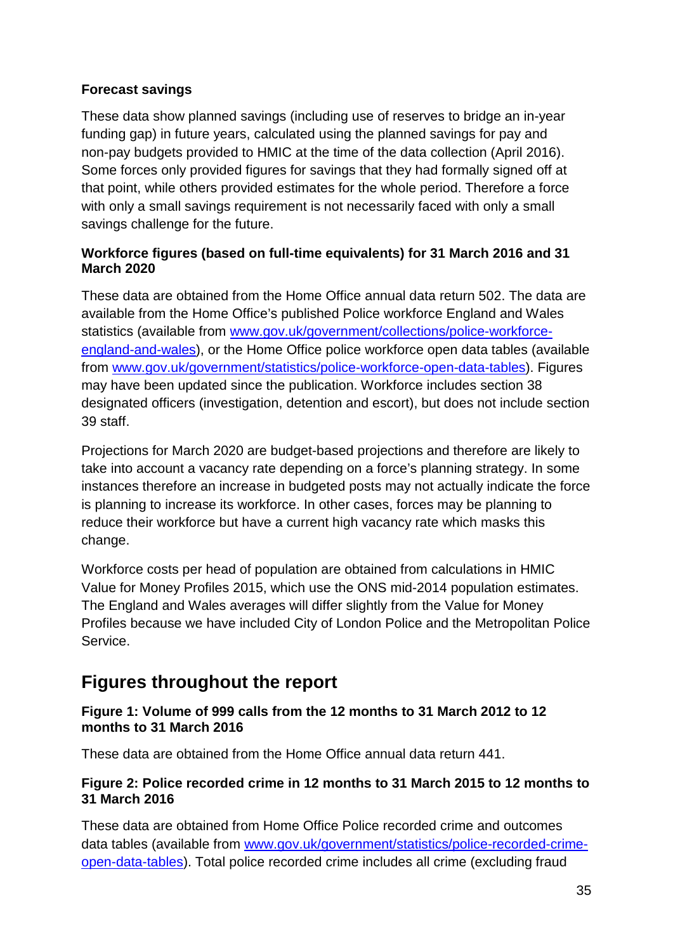#### **Forecast savings**

These data show planned savings (including use of reserves to bridge an in-year funding gap) in future years, calculated using the planned savings for pay and non-pay budgets provided to HMIC at the time of the data collection (April 2016). Some forces only provided figures for savings that they had formally signed off at that point, while others provided estimates for the whole period. Therefore a force with only a small savings requirement is not necessarily faced with only a small savings challenge for the future.

#### **Workforce figures (based on full-time equivalents) for 31 March 2016 and 31 March 2020**

These data are obtained from the Home Office annual data return 502. The data are available from the Home Office's published Police workforce England and Wales statistics (available from [www.gov.uk/government/collections/police-workforce](https://www.gov.uk/government/collections/police-workforce-england-and-wales)[england-and-wales\)](https://www.gov.uk/government/collections/police-workforce-england-and-wales), or the Home Office police workforce open data tables (available from [www.gov.uk/government/statistics/police-workforce-open-data-tables\)](https://www.gov.uk/government/statistics/police-workforce-open-data-tables). Figures may have been updated since the publication. Workforce includes section 38 designated officers (investigation, detention and escort), but does not include section 39 staff.

Projections for March 2020 are budget-based projections and therefore are likely to take into account a vacancy rate depending on a force's planning strategy. In some instances therefore an increase in budgeted posts may not actually indicate the force is planning to increase its workforce. In other cases, forces may be planning to reduce their workforce but have a current high vacancy rate which masks this change.

Workforce costs per head of population are obtained from calculations in HMIC Value for Money Profiles 2015, which use the ONS mid-2014 population estimates. The England and Wales averages will differ slightly from the Value for Money Profiles because we have included City of London Police and the Metropolitan Police Service.

## **Figures throughout the report**

#### **Figure 1: Volume of 999 calls from the 12 months to 31 March 2012 to 12 months to 31 March 2016**

These data are obtained from the Home Office annual data return 441.

#### **Figure 2: Police recorded crime in 12 months to 31 March 2015 to 12 months to 31 March 2016**

These data are obtained from Home Office Police recorded crime and outcomes data tables (available from [www.gov.uk/government/statistics/police-recorded-crime](https://www.gov.uk/government/statistics/police-recorded-crime-open-data-tables)[open-data-tables\)](https://www.gov.uk/government/statistics/police-recorded-crime-open-data-tables). Total police recorded crime includes all crime (excluding fraud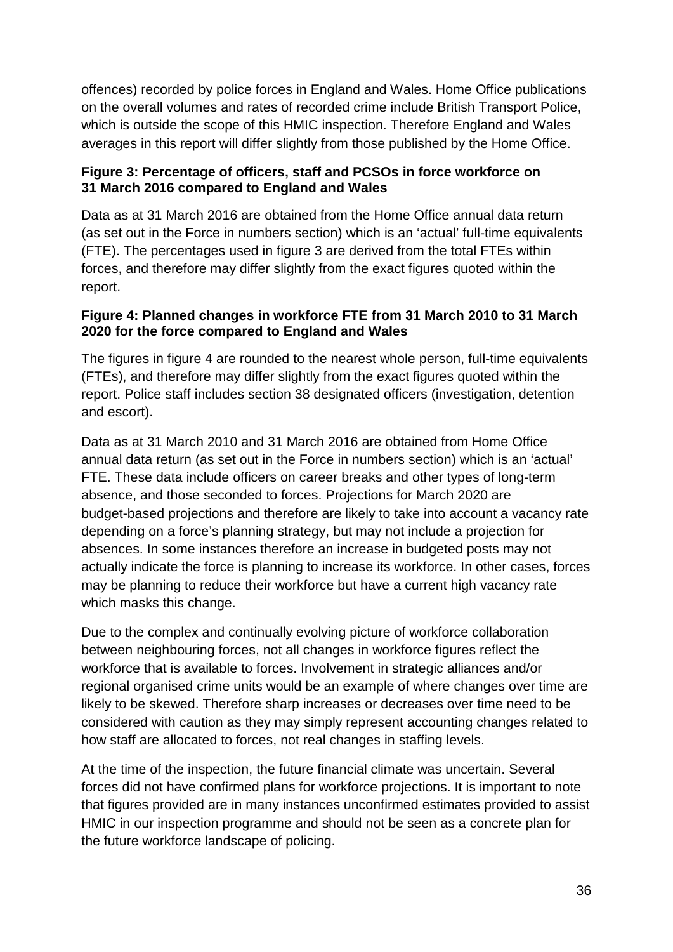offences) recorded by police forces in England and Wales. Home Office publications on the overall volumes and rates of recorded crime include British Transport Police, which is outside the scope of this HMIC inspection. Therefore England and Wales averages in this report will differ slightly from those published by the Home Office.

#### **Figure 3: Percentage of officers, staff and PCSOs in force workforce on 31 March 2016 compared to England and Wales**

Data as at 31 March 2016 are obtained from the Home Office annual data return (as set out in the Force in numbers section) which is an 'actual' full-time equivalents (FTE). The percentages used in figure 3 are derived from the total FTEs within forces, and therefore may differ slightly from the exact figures quoted within the report.

#### **Figure 4: Planned changes in workforce FTE from 31 March 2010 to 31 March 2020 for the force compared to England and Wales**

The figures in figure 4 are rounded to the nearest whole person, full-time equivalents (FTEs), and therefore may differ slightly from the exact figures quoted within the report. Police staff includes section 38 designated officers (investigation, detention and escort).

Data as at 31 March 2010 and 31 March 2016 are obtained from Home Office annual data return (as set out in the Force in numbers section) which is an 'actual' FTE. These data include officers on career breaks and other types of long-term absence, and those seconded to forces. Projections for March 2020 are budget-based projections and therefore are likely to take into account a vacancy rate depending on a force's planning strategy, but may not include a projection for absences. In some instances therefore an increase in budgeted posts may not actually indicate the force is planning to increase its workforce. In other cases, forces may be planning to reduce their workforce but have a current high vacancy rate which masks this change.

Due to the complex and continually evolving picture of workforce collaboration between neighbouring forces, not all changes in workforce figures reflect the workforce that is available to forces. Involvement in strategic alliances and/or regional organised crime units would be an example of where changes over time are likely to be skewed. Therefore sharp increases or decreases over time need to be considered with caution as they may simply represent accounting changes related to how staff are allocated to forces, not real changes in staffing levels.

At the time of the inspection, the future financial climate was uncertain. Several forces did not have confirmed plans for workforce projections. It is important to note that figures provided are in many instances unconfirmed estimates provided to assist HMIC in our inspection programme and should not be seen as a concrete plan for the future workforce landscape of policing.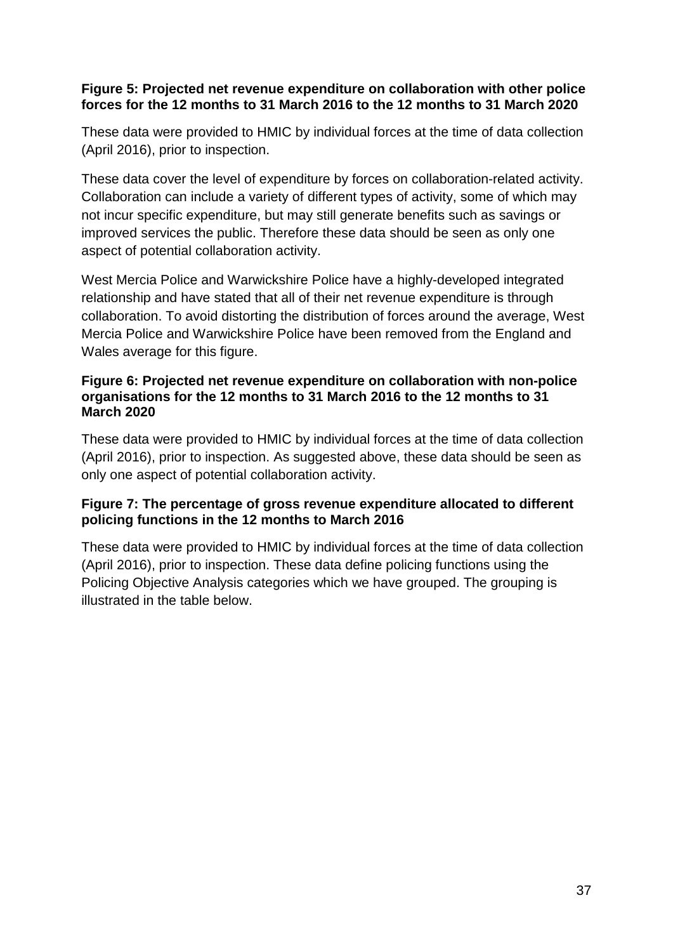#### **Figure 5: Projected net revenue expenditure on collaboration with other police forces for the 12 months to 31 March 2016 to the 12 months to 31 March 2020**

These data were provided to HMIC by individual forces at the time of data collection (April 2016), prior to inspection.

These data cover the level of expenditure by forces on collaboration-related activity. Collaboration can include a variety of different types of activity, some of which may not incur specific expenditure, but may still generate benefits such as savings or improved services the public. Therefore these data should be seen as only one aspect of potential collaboration activity.

West Mercia Police and Warwickshire Police have a highly-developed integrated relationship and have stated that all of their net revenue expenditure is through collaboration. To avoid distorting the distribution of forces around the average, West Mercia Police and Warwickshire Police have been removed from the England and Wales average for this figure.

#### **Figure 6: Projected net revenue expenditure on collaboration with non-police organisations for the 12 months to 31 March 2016 to the 12 months to 31 March 2020**

These data were provided to HMIC by individual forces at the time of data collection (April 2016), prior to inspection. As suggested above, these data should be seen as only one aspect of potential collaboration activity.

#### **Figure 7: The percentage of gross revenue expenditure allocated to different policing functions in the 12 months to March 2016**

These data were provided to HMIC by individual forces at the time of data collection (April 2016), prior to inspection. These data define policing functions using the Policing Objective Analysis categories which we have grouped. The grouping is illustrated in the table below.